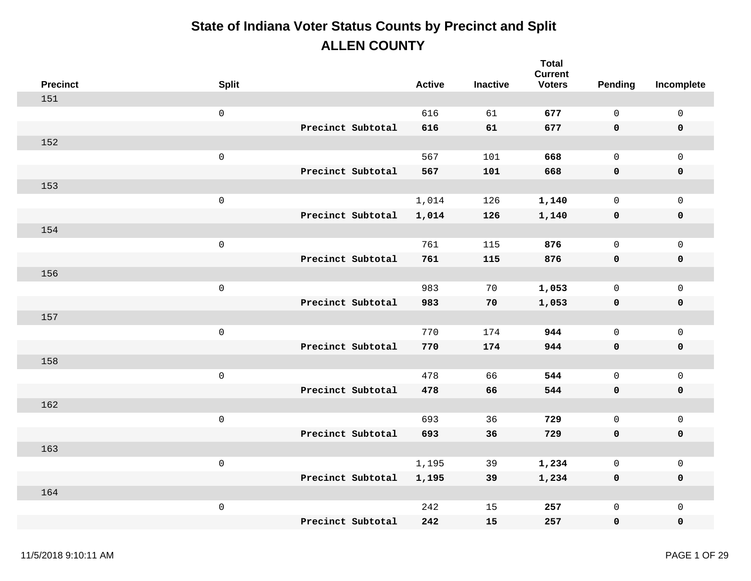| <b>Precinct</b> | <b>Split</b>        |                   | <b>Active</b> | <b>Inactive</b> | <b>Total</b><br><b>Current</b><br><b>Voters</b> | Pending      | Incomplete          |
|-----------------|---------------------|-------------------|---------------|-----------------|-------------------------------------------------|--------------|---------------------|
| 151             |                     |                   |               |                 |                                                 |              |                     |
|                 | $\mathsf{O}\xspace$ |                   | 616           | 61              | 677                                             | $\mathbf 0$  | $\mathsf{O}\xspace$ |
|                 |                     | Precinct Subtotal | 616           | 61              | 677                                             | 0            | $\pmb{0}$           |
| 152             |                     |                   |               |                 |                                                 |              |                     |
|                 | $\mathsf{O}\xspace$ |                   | 567           | 101             | 668                                             | $\mathsf{O}$ | $\mathbf 0$         |
|                 |                     | Precinct Subtotal | 567           | 101             | 668                                             | 0            | $\pmb{0}$           |
| 153             |                     |                   |               |                 |                                                 |              |                     |
|                 | $\mathsf 0$         |                   | 1,014         | 126             | 1,140                                           | $\mathbf 0$  | $\mathbf 0$         |
|                 |                     | Precinct Subtotal | 1,014         | 126             | 1,140                                           | 0            | $\pmb{0}$           |
| 154             |                     |                   |               |                 |                                                 |              |                     |
|                 | $\mathsf{O}\xspace$ |                   | 761           | 115             | 876                                             | $\mathbf 0$  | $\mathbf 0$         |
|                 |                     | Precinct Subtotal | 761           | 115             | 876                                             | $\mathbf 0$  | $\pmb{0}$           |
| 156             |                     |                   |               |                 |                                                 |              |                     |
|                 | $\mathsf 0$         |                   | 983           | 70              | 1,053                                           | 0            | $\mathsf{O}$        |
|                 |                     | Precinct Subtotal | 983           | 70              | 1,053                                           | 0            | $\pmb{0}$           |
| 157             |                     |                   |               |                 |                                                 |              |                     |
|                 | $\mathsf{O}\xspace$ |                   | 770           | 174             | 944                                             | $\mathsf{O}$ | $\mathsf{O}$        |
|                 |                     | Precinct Subtotal | 770           | 174             | 944                                             | 0            | $\pmb{0}$           |
| 158             |                     |                   |               |                 |                                                 |              |                     |
|                 | $\mathsf 0$         |                   | 478           | 66              | 544                                             | $\mathsf{O}$ | $\mathsf{O}\xspace$ |
|                 |                     | Precinct Subtotal | 478           | 66              | 544                                             | 0            | $\mathbf 0$         |
| 162             |                     |                   |               |                 |                                                 |              |                     |
|                 | $\mathsf 0$         |                   | 693           | 36              | 729                                             | $\mathsf{O}$ | $\mathsf{O}\xspace$ |
|                 |                     | Precinct Subtotal | 693           | 36              | 729                                             | 0            | $\pmb{0}$           |
| 163             |                     |                   |               |                 |                                                 |              |                     |
|                 | $\mathsf 0$         |                   | 1,195         | 39              | 1,234                                           | $\mathsf{O}$ | $\mathsf{O}$        |
|                 |                     | Precinct Subtotal | 1,195         | 39              | 1,234                                           | 0            | $\mathbf 0$         |
| 164             |                     |                   |               |                 |                                                 |              |                     |
|                 | $\mathsf 0$         |                   | 242           | 15              | 257                                             | $\mathsf{O}$ | $\mathbf 0$         |
|                 |                     | Precinct Subtotal | 242           | 15              | 257                                             | 0            | $\mathbf 0$         |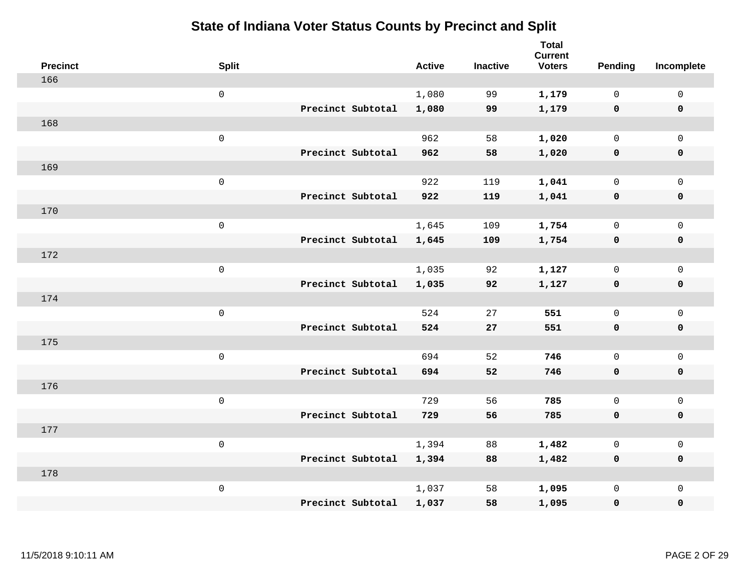| <b>Precinct</b> | <b>Split</b> |                   | <b>Active</b> | <b>Inactive</b> | <b>Total</b><br><b>Current</b><br><b>Voters</b> | <b>Pending</b> | Incomplete          |
|-----------------|--------------|-------------------|---------------|-----------------|-------------------------------------------------|----------------|---------------------|
| 166             |              |                   |               |                 |                                                 |                |                     |
|                 | $\mathbf 0$  |                   | 1,080         | 99              | 1,179                                           | $\mathbf 0$    | $\mathbf 0$         |
|                 |              | Precinct Subtotal | 1,080         | 99              | 1,179                                           | $\mathbf 0$    | $\mathbf 0$         |
| 168             |              |                   |               |                 |                                                 |                |                     |
|                 | $\mathsf 0$  |                   | 962           | 58              | 1,020                                           | $\mathsf{O}$   | $\mathbf 0$         |
|                 |              | Precinct Subtotal | 962           | 58              | 1,020                                           | $\mathbf 0$    | $\mathbf 0$         |
| 169             |              |                   |               |                 |                                                 |                |                     |
|                 | $\mathsf 0$  |                   | 922           | 119             | 1,041                                           | $\mathbf 0$    | $\mathsf{O}\xspace$ |
|                 |              | Precinct Subtotal | 922           | 119             | 1,041                                           | $\mathbf 0$    | $\mathbf 0$         |
| 170             |              |                   |               |                 |                                                 |                |                     |
|                 | $\mathsf 0$  |                   | 1,645         | 109             | 1,754                                           | $\mathsf{O}$   | $\mathsf{O}\xspace$ |
|                 |              | Precinct Subtotal | 1,645         | 109             | 1,754                                           | $\mathbf 0$    | $\mathbf 0$         |
| 172             |              |                   |               |                 |                                                 |                |                     |
|                 | $\mathsf 0$  |                   | 1,035         | 92              | 1,127                                           | $\mathbf 0$    | $\mathbf 0$         |
|                 |              | Precinct Subtotal | 1,035         | 92              | 1,127                                           | $\mathbf 0$    | $\mathbf 0$         |
| 174             |              |                   |               |                 |                                                 |                |                     |
|                 | $\mathsf 0$  |                   | 524           | 27              | 551                                             | $\mathsf{O}$   | $\mathbf 0$         |
|                 |              | Precinct Subtotal | 524           | 27              | 551                                             | 0              | $\mathbf 0$         |
| 175             |              |                   |               |                 |                                                 |                |                     |
|                 | $\mathbf 0$  |                   | 694           | 52              | 746                                             | $\mathsf{O}$   | $\mathsf{O}\xspace$ |
|                 |              | Precinct Subtotal | 694           | 52              | 746                                             | 0              | $\mathbf 0$         |
| 176             |              |                   |               |                 |                                                 |                |                     |
|                 | $\mathsf 0$  |                   | 729           | 56              | 785                                             | $\mathbf 0$    | $\mathsf{O}\xspace$ |
|                 |              | Precinct Subtotal | 729           | 56              | 785                                             | $\mathbf 0$    | $\mathbf 0$         |
| 177             |              |                   |               |                 |                                                 |                |                     |
|                 | $\mathsf 0$  |                   | 1,394         | 88              | 1,482                                           | $\mathbf 0$    | $\mathsf 0$         |
|                 |              | Precinct Subtotal | 1,394         | 88              | 1,482                                           | $\mathbf 0$    | $\mathbf 0$         |
| 178             |              |                   |               |                 |                                                 |                |                     |
|                 | $\mathsf 0$  |                   | 1,037         | 58              | 1,095                                           | $\mathsf{O}$   | $\mathbf 0$         |
|                 |              | Precinct Subtotal | 1,037         | 58              | 1,095                                           | 0              | $\pmb{0}$           |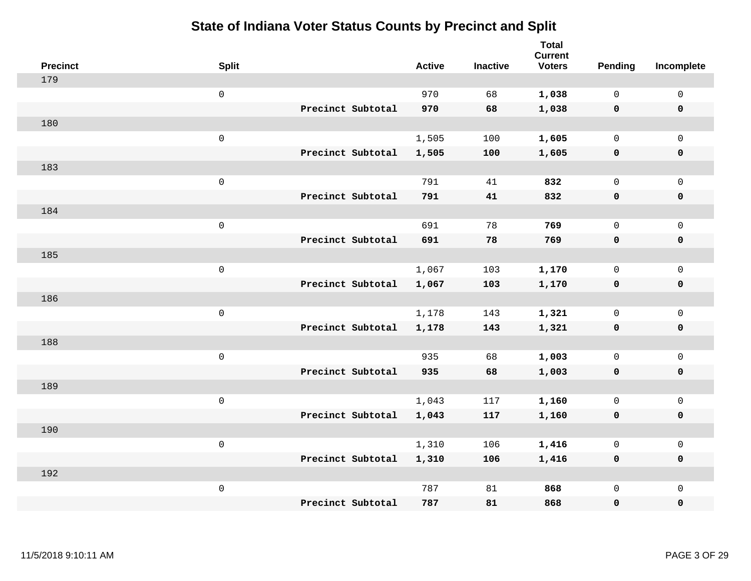| <b>Precinct</b> | <b>Split</b>        |                   | <b>Active</b> | <b>Inactive</b> | <b>Total</b><br><b>Current</b><br><b>Voters</b> | Pending      | Incomplete          |
|-----------------|---------------------|-------------------|---------------|-----------------|-------------------------------------------------|--------------|---------------------|
| 179             |                     |                   |               |                 |                                                 |              |                     |
|                 | $\mathsf{O}$        |                   | 970           | 68              | 1,038                                           | $\mathbf 0$  | $\mathsf{O}$        |
|                 |                     | Precinct Subtotal | 970           | 68              | 1,038                                           | $\mathbf 0$  | $\mathbf 0$         |
| 180             |                     |                   |               |                 |                                                 |              |                     |
|                 | $\mathsf{O}\xspace$ |                   | 1,505         | 100             | 1,605                                           | $\mathbf 0$  | $\mathsf{O}$        |
|                 |                     | Precinct Subtotal | 1,505         | 100             | 1,605                                           | $\mathbf 0$  | 0                   |
| 183             |                     |                   |               |                 |                                                 |              |                     |
|                 | $\mathsf{O}\xspace$ |                   | 791           | 41              | 832                                             | $\mathbf 0$  | $\mathsf{O}\xspace$ |
|                 |                     | Precinct Subtotal | 791           | 41              | 832                                             | 0            | 0                   |
| 184             |                     |                   |               |                 |                                                 |              |                     |
|                 | $\mathsf{O}\xspace$ |                   | 691           | 78              | 769                                             | $\mathbf 0$  | $\mathsf{O}\xspace$ |
|                 |                     | Precinct Subtotal | 691           | 78              | 769                                             | $\mathbf 0$  | 0                   |
| 185             |                     |                   |               |                 |                                                 |              |                     |
|                 | $\mathsf{O}\xspace$ |                   | 1,067         | 103             | 1,170                                           | $\mathbf 0$  | $\mathsf{O}$        |
|                 |                     | Precinct Subtotal | 1,067         | 103             | 1,170                                           | $\mathbf 0$  | 0                   |
| 186             |                     |                   |               |                 |                                                 |              |                     |
|                 | $\mathsf{O}\xspace$ |                   | 1,178         | 143             | 1,321                                           | $\mathsf{O}$ | $\mathsf{O}$        |
|                 |                     | Precinct Subtotal | 1,178         | 143             | 1,321                                           | 0            | 0                   |
| 188             |                     |                   |               |                 |                                                 |              |                     |
|                 | $\mathsf{O}\xspace$ |                   | 935           | 68              | 1,003                                           | $\mathsf{O}$ | $\mathsf{O}$        |
|                 |                     | Precinct Subtotal | 935           | 68              | 1,003                                           | 0            | 0                   |
| 189             |                     |                   |               |                 |                                                 |              |                     |
|                 | $\mathsf 0$         |                   | 1,043         | 117             | 1,160                                           | $\mathsf{O}$ | $\mathsf{O}\xspace$ |
|                 |                     | Precinct Subtotal | 1,043         | 117             | 1,160                                           | 0            | 0                   |
| 190             |                     |                   |               |                 |                                                 |              |                     |
|                 | $\mathsf{O}\xspace$ |                   | 1,310         | 106             | 1,416                                           | 0            | $\mathsf 0$         |
|                 |                     | Precinct Subtotal | 1,310         | 106             | 1,416                                           | 0            | 0                   |
| 192             |                     |                   |               |                 |                                                 |              |                     |
|                 | $\mathsf 0$         |                   | 787           | 81              | 868                                             | $\mathsf{O}$ | $\mathsf{O}$        |
|                 |                     | Precinct Subtotal | 787           | 81              | 868                                             | 0            | 0                   |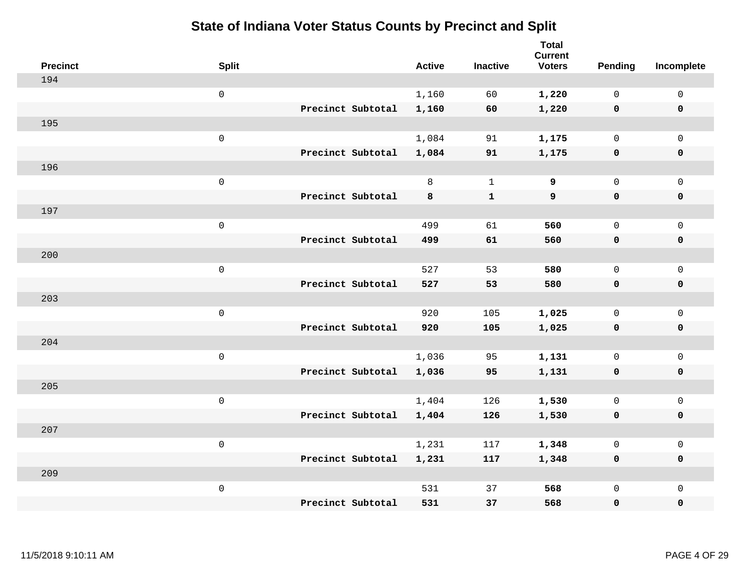| <b>Precinct</b> | <b>Split</b>        |                   | <b>Active</b> | <b>Inactive</b> | <b>Total</b><br><b>Current</b><br><b>Voters</b> | <b>Pending</b> | Incomplete          |
|-----------------|---------------------|-------------------|---------------|-----------------|-------------------------------------------------|----------------|---------------------|
| 194             |                     |                   |               |                 |                                                 |                |                     |
|                 | $\mathsf{O}$        |                   | 1,160         | 60              | 1,220                                           | $\mathbf 0$    | 0                   |
|                 |                     | Precinct Subtotal | 1,160         | 60              | 1,220                                           | $\mathbf 0$    | $\mathbf 0$         |
| 195             |                     |                   |               |                 |                                                 |                |                     |
|                 | $\mathsf{O}\xspace$ |                   | 1,084         | 91              | 1,175                                           | $\mathsf{O}$   | $\mathsf{O}$        |
|                 |                     | Precinct Subtotal | 1,084         | 91              | 1,175                                           | $\mathbf 0$    | $\pmb{0}$           |
| 196             |                     |                   |               |                 |                                                 |                |                     |
|                 | $\mathsf{O}\xspace$ |                   | 8             | $\mathbf{1}$    | 9                                               | $\mathbf{0}$   | $\mathsf{O}$        |
|                 |                     | Precinct Subtotal | 8             | $\mathbf{1}$    | 9                                               | $\mathbf 0$    | $\mathbf 0$         |
| 197             |                     |                   |               |                 |                                                 |                |                     |
|                 | $\mathsf{O}\xspace$ |                   | 499           | 61              | 560                                             | $\mathbf{0}$   | $\mathbf 0$         |
|                 |                     | Precinct Subtotal | 499           | 61              | 560                                             | $\mathbf 0$    | $\mathbf 0$         |
| 200             |                     |                   |               |                 |                                                 |                |                     |
|                 | $\mathsf{O}$        |                   | 527           | 53              | 580                                             | $\mathbf{0}$   | $\mathbf 0$         |
|                 |                     | Precinct Subtotal | 527           | 53              | 580                                             | $\mathbf 0$    | $\mathbf 0$         |
| 203             |                     |                   |               |                 |                                                 |                |                     |
|                 | $\mathsf{O}\xspace$ |                   | 920           | 105             | 1,025                                           | $\mathsf{O}$   | $\mathsf{O}$        |
|                 |                     | Precinct Subtotal | 920           | 105             | 1,025                                           | 0              | $\pmb{0}$           |
| 204             |                     |                   |               |                 |                                                 |                |                     |
|                 | $\mathsf{O}\xspace$ |                   | 1,036         | 95              | 1,131                                           | $\mathsf{O}$   | $\mathsf{O}$        |
|                 |                     | Precinct Subtotal | 1,036         | 95              | 1,131                                           | 0              | $\mathbf 0$         |
| 205             |                     |                   |               |                 |                                                 |                |                     |
|                 | $\mathsf{O}\xspace$ |                   | 1,404         | 126             | 1,530                                           | $\mathsf{O}$   | $\mathsf{O}\xspace$ |
|                 |                     | Precinct Subtotal | 1,404         | 126             | 1,530                                           | $\mathbf 0$    | $\mathbf 0$         |
| 207             |                     |                   |               |                 |                                                 |                |                     |
|                 | $\mathsf 0$         |                   | 1,231         | 117             | 1,348                                           | 0              | $\mathsf 0$         |
|                 |                     | Precinct Subtotal | 1,231         | 117             | 1,348                                           | $\mathbf 0$    | $\mathbf 0$         |
| 209             |                     |                   |               |                 |                                                 |                |                     |
|                 | $\mathsf{O}\xspace$ |                   | 531           | 37              | 568                                             | 0              | $\mathsf{O}$        |
|                 |                     | Precinct Subtotal | 531           | 37              | 568                                             | 0              | $\mathbf 0$         |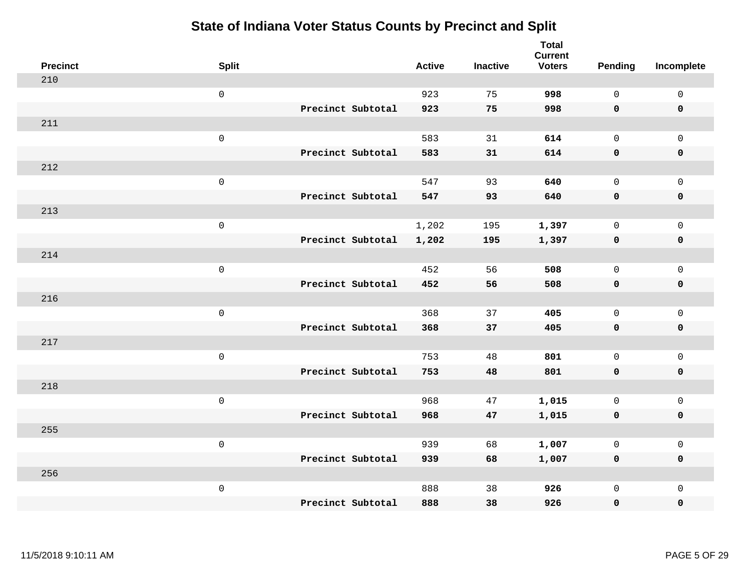| <b>Precinct</b> | <b>Split</b>        |                   | <b>Active</b> | <b>Inactive</b> | <b>Total</b><br><b>Current</b><br><b>Voters</b> | Pending      | Incomplete          |
|-----------------|---------------------|-------------------|---------------|-----------------|-------------------------------------------------|--------------|---------------------|
| 210             |                     |                   |               |                 |                                                 |              |                     |
|                 | $\mathsf 0$         |                   | 923           | 75              | 998                                             | $\mathbf 0$  | $\mathsf 0$         |
|                 |                     | Precinct Subtotal | 923           | 75              | 998                                             | $\mathbf 0$  | $\mathbf 0$         |
| 211             |                     |                   |               |                 |                                                 |              |                     |
|                 | $\mathsf 0$         |                   | 583           | 31              | 614                                             | $\mathbf 0$  | $\mathsf{O}$        |
|                 |                     | Precinct Subtotal | 583           | 31              | 614                                             | $\mathbf 0$  | 0                   |
| 212             |                     |                   |               |                 |                                                 |              |                     |
|                 | $\mathsf 0$         |                   | 547           | 93              | 640                                             | $\mathbf 0$  | $\mathsf{O}$        |
|                 |                     | Precinct Subtotal | 547           | 93              | 640                                             | $\mathbf 0$  | $\pmb{0}$           |
| 213             |                     |                   |               |                 |                                                 |              |                     |
|                 | $\mathsf 0$         |                   | 1,202         | 195             | 1,397                                           | $\mathbf 0$  | $\mathsf{O}\xspace$ |
|                 |                     | Precinct Subtotal | 1,202         | 195             | 1,397                                           | $\mathbf 0$  | $\pmb{0}$           |
| 214             |                     |                   |               |                 |                                                 |              |                     |
|                 | $\mathsf 0$         |                   | 452           | 56              | 508                                             | $\mathbf 0$  | $\mathsf 0$         |
|                 |                     | Precinct Subtotal | 452           | 56              | 508                                             | 0            | $\pmb{0}$           |
| 216             |                     |                   |               |                 |                                                 |              |                     |
|                 | $\,0\,$             |                   | 368           | 37              | 405                                             | $\mathbf 0$  | $\mathsf{O}\xspace$ |
|                 |                     | Precinct Subtotal | 368           | 37              | 405                                             | $\mathbf 0$  | 0                   |
| 217             |                     |                   |               |                 |                                                 |              |                     |
|                 | $\mathbf 0$         |                   | 753           | 48              | 801                                             | $\mathbf 0$  | $\mathsf{O}\xspace$ |
|                 |                     | Precinct Subtotal | 753           | 48              | 801                                             | $\mathbf 0$  | 0                   |
| 218             |                     |                   |               |                 |                                                 |              |                     |
|                 | $\mathsf{O}\xspace$ |                   | 968           | 47              | 1,015                                           | $\mathbf 0$  | $\mathsf{O}\xspace$ |
|                 |                     | Precinct Subtotal | 968           | 47              | 1,015                                           | $\mathbf 0$  | 0                   |
| 255             |                     |                   |               |                 |                                                 |              |                     |
|                 | $\mathsf 0$         |                   | 939           | 68              | 1,007                                           | $\mathbf 0$  | $\mathsf 0$         |
|                 |                     | Precinct Subtotal | 939           | 68              | 1,007                                           | 0            | 0                   |
| 256             |                     |                   |               |                 |                                                 |              |                     |
|                 | $\mathbf 0$         |                   | 888           | 38              | 926                                             | $\mathsf{O}$ | $\mathsf{O}$        |
|                 |                     | Precinct Subtotal | 888           | 38              | 926                                             | 0            | 0                   |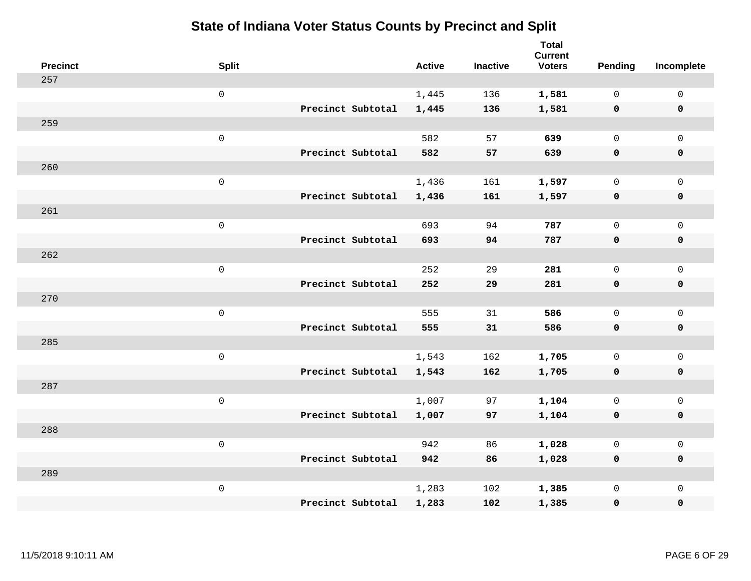| <b>Precinct</b> | <b>Split</b>        |                   | <b>Active</b> | <b>Inactive</b> | <b>Total</b><br><b>Current</b><br><b>Voters</b> | <b>Pending</b> | Incomplete          |
|-----------------|---------------------|-------------------|---------------|-----------------|-------------------------------------------------|----------------|---------------------|
| 257             |                     |                   |               |                 |                                                 |                |                     |
|                 | $\mathsf 0$         |                   | 1,445         | 136             | 1,581                                           | $\mathbf{0}$   | $\mathbf 0$         |
|                 |                     | Precinct Subtotal | 1,445         | 136             | 1,581                                           | $\mathbf 0$    | $\mathbf 0$         |
| 259             |                     |                   |               |                 |                                                 |                |                     |
|                 | $\mathsf 0$         |                   | 582           | 57              | 639                                             | $\mathbf{0}$   | $\mathbf 0$         |
|                 |                     | Precinct Subtotal | 582           | 57              | 639                                             | $\mathbf 0$    | $\pmb{0}$           |
| 260             |                     |                   |               |                 |                                                 |                |                     |
|                 | $\mathsf 0$         |                   | 1,436         | 161             | 1,597                                           | $\mathbf{0}$   | $\mathsf{O}$        |
|                 |                     | Precinct Subtotal | 1,436         | 161             | 1,597                                           | 0              | $\mathbf 0$         |
| 261             |                     |                   |               |                 |                                                 |                |                     |
|                 | $\mathsf 0$         |                   | 693           | 94              | 787                                             | 0              | $\mathsf{O}$        |
|                 |                     | Precinct Subtotal | 693           | 94              | 787                                             | $\mathbf 0$    | $\pmb{0}$           |
| 262             |                     |                   |               |                 |                                                 |                |                     |
|                 | $\mathsf 0$         |                   | 252           | 29              | 281                                             | $\mathbf{0}$   | $\mathbf 0$         |
|                 |                     | Precinct Subtotal | 252           | 29              | 281                                             | 0              | $\mathbf 0$         |
| 270             |                     |                   |               |                 |                                                 |                |                     |
|                 | $\mathsf{O}\xspace$ |                   | 555           | 31              | 586                                             | $\mathbf{0}$   | $\mathsf{O}\xspace$ |
|                 |                     | Precinct Subtotal | 555           | 31              | 586                                             | $\mathbf 0$    | $\mathbf 0$         |
| 285             |                     |                   |               |                 |                                                 |                |                     |
|                 | $\mathsf{O}\xspace$ |                   | 1,543         | 162             | 1,705                                           | $\mathbf{0}$   | $\mathsf{O}$        |
|                 |                     | Precinct Subtotal | 1,543         | 162             | 1,705                                           | 0              | $\mathbf 0$         |
| 287             |                     |                   |               |                 |                                                 |                |                     |
|                 | $\mathsf 0$         |                   | 1,007         | 97              | 1,104                                           | 0              | $\mathsf{O}$        |
|                 |                     | Precinct Subtotal | 1,007         | 97              | 1,104                                           | $\mathbf 0$    | 0                   |
| 288             |                     |                   |               |                 |                                                 |                |                     |
|                 | $\mathsf 0$         |                   | 942           | 86              | 1,028                                           | $\mathsf{O}$   | $\mathsf{O}$        |
|                 |                     | Precinct Subtotal | 942           | 86              | 1,028                                           | 0              | 0                   |
| 289             |                     |                   |               |                 |                                                 |                |                     |
|                 | $\mathsf 0$         |                   | 1,283         | 102             | 1,385                                           | 0              | $\mathbf 0$         |
|                 |                     | Precinct Subtotal | 1,283         | 102             | 1,385                                           | 0              | $\mathbf 0$         |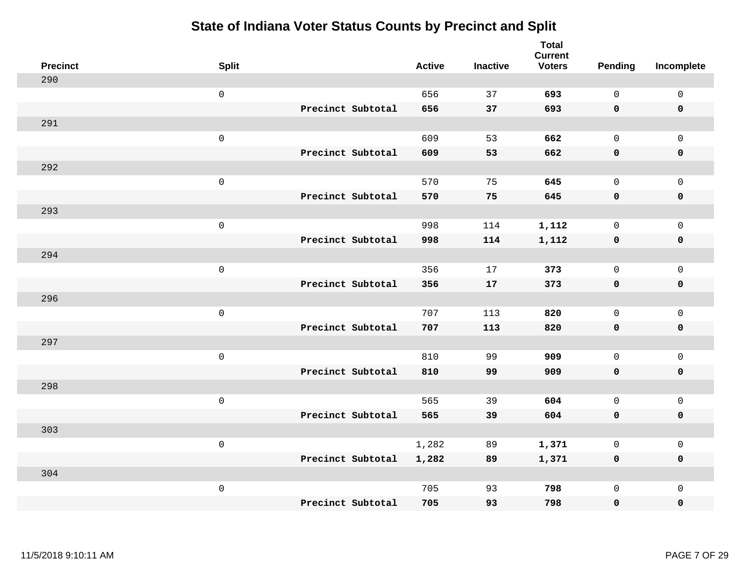| <b>Precinct</b> | <b>Split</b>        | <b>Active</b> | <b>Inactive</b> | <b>Total</b><br><b>Current</b><br><b>Voters</b> | Pending      | Incomplete          |
|-----------------|---------------------|---------------|-----------------|-------------------------------------------------|--------------|---------------------|
| 290             |                     |               |                 |                                                 |              |                     |
|                 | $\mathsf{O}\xspace$ | 656           | 37              | 693                                             | $\mathbf 0$  | $\mathsf{O}\xspace$ |
|                 | Precinct Subtotal   | 656           | 37              | 693                                             | $\mathbf 0$  | $\mathbf 0$         |
| 291             |                     |               |                 |                                                 |              |                     |
|                 | $\mathsf{O}\xspace$ | 609           | 53              | 662                                             | $\mathsf{O}$ | $\mathsf{O}$        |
|                 | Precinct Subtotal   | 609           | 53              | 662                                             | $\mathbf 0$  | 0                   |
| 292             |                     |               |                 |                                                 |              |                     |
|                 | $\mathsf 0$         | 570           | 75              | 645                                             | $\mathbf 0$  | $\mathsf{O}$        |
|                 | Precinct Subtotal   | 570           | 75              | 645                                             | $\mathbf 0$  | 0                   |
| 293             |                     |               |                 |                                                 |              |                     |
|                 | $\mathsf{O}\xspace$ | 998           | 114             | 1,112                                           | $\mathbf 0$  | $\mathsf{O}\xspace$ |
|                 | Precinct Subtotal   | 998           | 114             | 1,112                                           | $\mathbf 0$  | $\pmb{0}$           |
| 294             |                     |               |                 |                                                 |              |                     |
|                 | $\mathsf 0$         | 356           | 17              | 373                                             | $\mathbf{0}$ | $\mathsf{O}\xspace$ |
|                 | Precinct Subtotal   | 356           | 17              | 373                                             | 0            | $\mathbf 0$         |
| 296             |                     |               |                 |                                                 |              |                     |
|                 | $\mathsf{O}\xspace$ | 707           | 113             | 820                                             | $\mathsf{O}$ | $\mathsf{O}$        |
|                 | Precinct Subtotal   | 707           | 113             | 820                                             | 0            | 0                   |
| 297             |                     |               |                 |                                                 |              |                     |
|                 | $\mathsf{O}\xspace$ | 810           | 99              | 909                                             | $\mathbf 0$  | $\mathsf{O}\xspace$ |
|                 | Precinct Subtotal   | 810           | 99              | 909                                             | 0            | 0                   |
| 298             |                     |               |                 |                                                 |              |                     |
|                 | $\mathsf 0$         | 565           | 39              | 604                                             | $\mathbf 0$  | $\mathsf{O}\xspace$ |
|                 | Precinct Subtotal   | 565           | 39              | 604                                             | $\mathbf 0$  | 0                   |
| 303             |                     |               |                 |                                                 |              |                     |
|                 | $\mathsf 0$         | 1,282         | 89              | 1,371                                           | $\mathbf 0$  | $\mathsf{O}\xspace$ |
|                 | Precinct Subtotal   | 1,282         | 89              | 1,371                                           | 0            | 0                   |
| 304             |                     |               |                 |                                                 |              |                     |
|                 | $\mathsf 0$         | 705           | 93              | 798                                             | $\mathsf{O}$ | $\mathsf{O}$        |
|                 | Precinct Subtotal   | 705           | 93              | 798                                             | 0            | 0                   |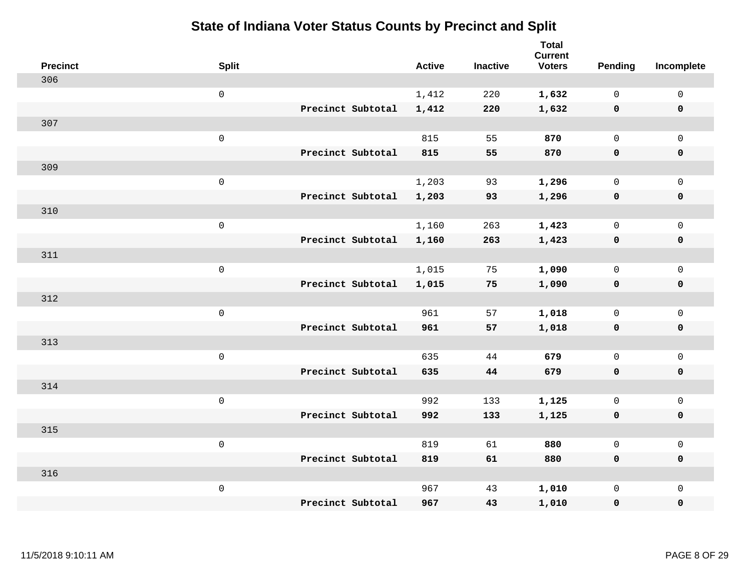| <b>Precinct</b> | <b>Split</b>        |                   | <b>Active</b> | <b>Inactive</b> | Total<br><b>Current</b><br><b>Voters</b> | Pending      | Incomplete          |
|-----------------|---------------------|-------------------|---------------|-----------------|------------------------------------------|--------------|---------------------|
| 306             |                     |                   |               |                 |                                          |              |                     |
|                 | $\mathsf{O}\xspace$ |                   | 1,412         | 220             | 1,632                                    | $\mathbf 0$  | $\mathsf{O}\xspace$ |
|                 |                     | Precinct Subtotal | 1,412         | 220             | 1,632                                    | $\mathbf 0$  | 0                   |
| 307             |                     |                   |               |                 |                                          |              |                     |
|                 | $\mathsf{O}\xspace$ |                   | 815           | 55              | 870                                      | $\mathbf 0$  | $\mathbf{0}$        |
|                 |                     | Precinct Subtotal | 815           | 55              | 870                                      | 0            | 0                   |
| 309             |                     |                   |               |                 |                                          |              |                     |
|                 | $\mathbf 0$         |                   | 1,203         | 93              | 1,296                                    | $\mathbf 0$  | $\mathsf{O}$        |
|                 |                     | Precinct Subtotal | 1,203         | 93              | 1,296                                    | 0            | 0                   |
| 310             |                     |                   |               |                 |                                          |              |                     |
|                 | $\mathbf 0$         |                   | 1,160         | 263             | 1,423                                    | $\mathsf{O}$ | $\mathsf{O}$        |
|                 |                     | Precinct Subtotal | 1,160         | 263             | 1,423                                    | 0            | 0                   |
| 311             |                     |                   |               |                 |                                          |              |                     |
|                 | $\mathbf 0$         |                   | 1,015         | 75              | 1,090                                    | $\mathsf{O}$ | $\mathsf{O}$        |
|                 |                     | Precinct Subtotal | 1,015         | 75              | 1,090                                    | 0            | 0                   |
| 312             |                     |                   |               |                 |                                          |              |                     |
|                 | $\mathbf 0$         |                   | 961           | 57              | 1,018                                    | $\mathsf{O}$ | $\mathsf{O}\xspace$ |
|                 |                     | Precinct Subtotal | 961           | 57              | 1,018                                    | 0            | 0                   |
| 313             |                     |                   |               |                 |                                          |              |                     |
|                 | $\mathbf 0$         |                   | 635           | 44              | 679                                      | $\mathbf 0$  | $\mathsf{O}\xspace$ |
|                 |                     | Precinct Subtotal | 635           | 44              | 679                                      | 0            | 0                   |
| 314             |                     |                   |               |                 |                                          |              |                     |
|                 | $\mathbf 0$         |                   | 992           | 133             | 1,125                                    | $\mathbf 0$  | $\mathbf{0}$        |
|                 |                     | Precinct Subtotal | 992           | 133             | 1,125                                    | $\mathbf 0$  | 0                   |
| 315             |                     |                   |               |                 |                                          |              |                     |
|                 | $\mathbf 0$         |                   | 819           | 61              | 880                                      | $\mathbf 0$  | $\mathsf{O}$        |
|                 |                     | Precinct Subtotal | 819           | 61              | 880                                      | 0            | 0                   |
| 316             |                     |                   |               |                 |                                          |              |                     |
|                 | $\mathbf 0$         |                   | 967           | 43              | 1,010                                    | $\mathsf{O}$ | $\mathsf{O}$        |
|                 |                     | Precinct Subtotal | 967           | 43              | 1,010                                    | 0            | 0                   |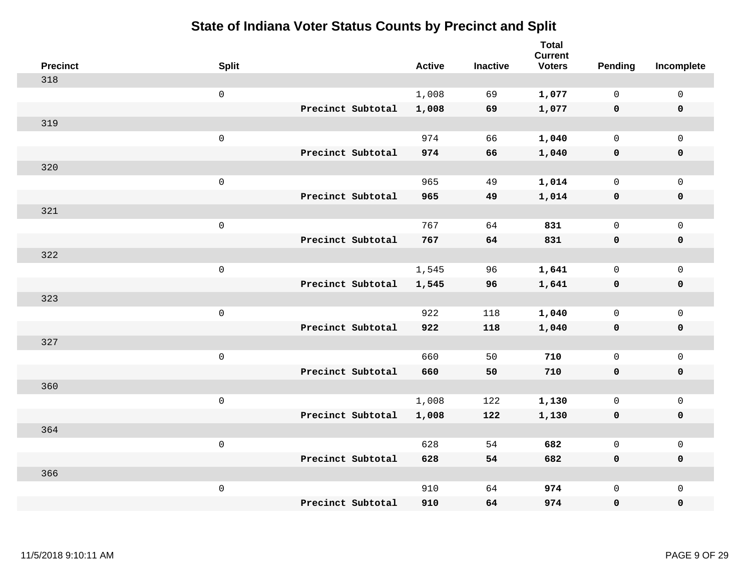| <b>Precinct</b> | <b>Split</b>        | <b>Active</b> | <b>Inactive</b> | <b>Total</b><br><b>Current</b><br><b>Voters</b> | <b>Pending</b> | Incomplete          |
|-----------------|---------------------|---------------|-----------------|-------------------------------------------------|----------------|---------------------|
| 318             |                     |               |                 |                                                 |                |                     |
|                 | $\mathsf 0$         | 1,008         | 69              | 1,077                                           | $\mathbf 0$    | $\mathsf 0$         |
|                 | Precinct Subtotal   | 1,008         | 69              | 1,077                                           | $\mathbf 0$    | $\mathbf 0$         |
| 319             |                     |               |                 |                                                 |                |                     |
|                 | $\mathsf 0$         | 974           | 66              | 1,040                                           | $\mathbf 0$    | $\mathsf{O}$        |
|                 | Precinct Subtotal   | 974           | 66              | 1,040                                           | $\mathbf 0$    | 0                   |
| 320             |                     |               |                 |                                                 |                |                     |
|                 | $\mathsf 0$         | 965           | 49              | 1,014                                           | $\mathbf 0$    | $\mathsf{O}\xspace$ |
|                 | Precinct Subtotal   | 965           | 49              | 1,014                                           | $\mathbf 0$    | $\pmb{0}$           |
| 321             |                     |               |                 |                                                 |                |                     |
|                 | $\mathsf{O}\xspace$ | 767           | 64              | 831                                             | $\mathsf{O}$   | $\mathsf{O}\xspace$ |
|                 | Precinct Subtotal   | 767           | 64              | 831                                             | 0              | 0                   |
| 322             |                     |               |                 |                                                 |                |                     |
|                 | $\mathbf 0$         | 1,545         | 96              | 1,641                                           | $\mathsf{O}$   | $\mathsf{O}$        |
|                 | Precinct Subtotal   | 1,545         | 96              | 1,641                                           | 0              | 0                   |
| 323             |                     |               |                 |                                                 |                |                     |
|                 | $\mathsf{O}\xspace$ | 922           | 118             | 1,040                                           | $\mathbf 0$    | $\mathsf{O}\xspace$ |
|                 | Precinct Subtotal   | 922           | 118             | 1,040                                           | $\mathbf 0$    | 0                   |
| 327             |                     |               |                 |                                                 |                |                     |
|                 | $\mathbf 0$         | 660           | 50              | 710                                             | $\mathsf{O}$   | $\mathsf{O}$        |
|                 | Precinct Subtotal   | 660           | 50              | 710                                             | 0              | 0                   |
| 360             |                     |               |                 |                                                 |                |                     |
|                 | $\mathbf 0$         | 1,008         | 122             | 1,130                                           | $\mathsf{O}$   | $\mathsf{O}$        |
|                 | Precinct Subtotal   | 1,008         | 122             | 1,130                                           | 0              | 0                   |
| 364             |                     |               |                 |                                                 |                |                     |
|                 | $\mathbf 0$         | 628           | 54              | 682                                             | $\mathbf 0$    | $\mathsf{O}$        |
|                 | Precinct Subtotal   | 628           | 54              | 682                                             | 0              | 0                   |
| 366             |                     |               |                 |                                                 |                |                     |
|                 | $\mathbf 0$         | 910           | 64              | 974                                             | $\mathsf{O}$   | $\mathsf{O}$        |
|                 | Precinct Subtotal   | 910           | 64              | 974                                             | 0              | 0                   |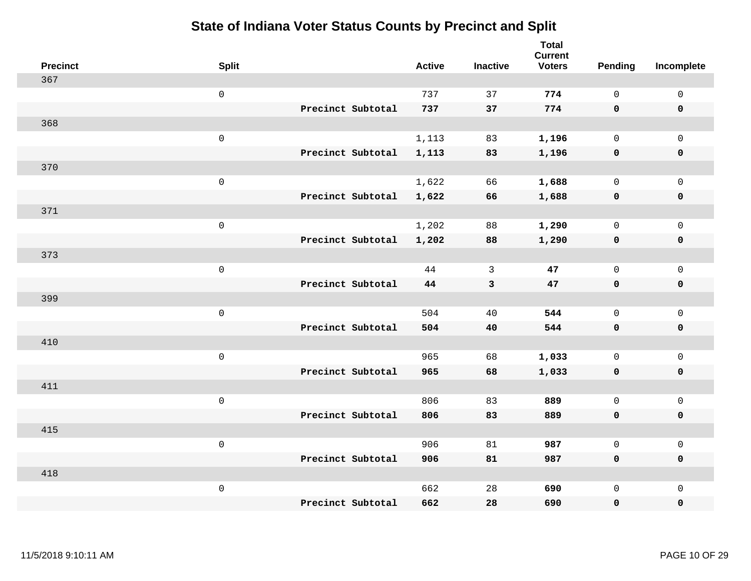| <b>Precinct</b> | <b>Split</b>        |                   | <b>Active</b> | <b>Inactive</b> | <b>Total</b><br><b>Current</b><br><b>Voters</b> | Pending      | Incomplete          |
|-----------------|---------------------|-------------------|---------------|-----------------|-------------------------------------------------|--------------|---------------------|
| 367             |                     |                   |               |                 |                                                 |              |                     |
|                 | $\mathsf{O}\xspace$ |                   | 737           | 37              | 774                                             | $\mathsf{O}$ | $\mathsf 0$         |
|                 |                     | Precinct Subtotal | 737           | 37              | 774                                             | $\mathbf 0$  | $\mathbf 0$         |
| 368             |                     |                   |               |                 |                                                 |              |                     |
|                 | $\mathbf 0$         |                   | 1,113         | 83              | 1,196                                           | $\mathbf 0$  | $\mathbf 0$         |
|                 |                     | Precinct Subtotal | 1,113         | 83              | 1,196                                           | $\mathbf 0$  | $\mathbf 0$         |
| 370             |                     |                   |               |                 |                                                 |              |                     |
|                 | $\mathsf 0$         |                   | 1,622         | 66              | 1,688                                           | $\mathbf 0$  | $\mathsf{O}\xspace$ |
|                 |                     | Precinct Subtotal | 1,622         | 66              | 1,688                                           | $\mathbf 0$  | $\mathbf 0$         |
| 371             |                     |                   |               |                 |                                                 |              |                     |
|                 | $\mathbf 0$         |                   | 1,202         | 88              | 1,290                                           | $\mathsf{O}$ | $\mathbf 0$         |
|                 |                     | Precinct Subtotal | 1,202         | 88              | 1,290                                           | $\mathbf 0$  | $\mathbf 0$         |
| 373             |                     |                   |               |                 |                                                 |              |                     |
|                 | $\mathbf 0$         |                   | 44            | 3               | 47                                              | $\mathbf 0$  | $\mathsf{O}\xspace$ |
|                 |                     | Precinct Subtotal | 44            | $\mathbf{3}$    | 47                                              | $\mathbf 0$  | $\mathbf 0$         |
| 399             |                     |                   |               |                 |                                                 |              |                     |
|                 | $\mathbf 0$         |                   | 504           | 40              | 544                                             | $\mathbf 0$  | $\mathsf{O}\xspace$ |
|                 |                     | Precinct Subtotal | 504           | 40              | 544                                             | $\mathbf 0$  | $\mathbf 0$         |
| 410             |                     |                   |               |                 |                                                 |              |                     |
|                 | $\mathbf 0$         |                   | 965           | 68              | 1,033                                           | $\mathsf{O}$ | $\mathbf 0$         |
|                 |                     | Precinct Subtotal | 965           | 68              | 1,033                                           | 0            | 0                   |
| 411             |                     |                   |               |                 |                                                 |              |                     |
|                 | $\mathbf 0$         |                   | 806           | 83              | 889                                             | $\mathbf 0$  | $\mathsf{O}\xspace$ |
|                 |                     | Precinct Subtotal | 806           | 83              | 889                                             | $\mathbf 0$  | $\pmb{0}$           |
| 415             |                     |                   |               |                 |                                                 |              |                     |
|                 | $\mathbf 0$         |                   | 906           | 81              | 987                                             | $\mathbf 0$  | $\mathbf 0$         |
|                 |                     | Precinct Subtotal | 906           | 81              | 987                                             | $\mathbf 0$  | $\mathbf 0$         |
| 418             |                     |                   |               |                 |                                                 |              |                     |
|                 | $\mathbf 0$         |                   | 662           | 28              | 690                                             | $\mathsf{O}$ | $\mathbf 0$         |
|                 |                     | Precinct Subtotal | 662           | 28              | 690                                             | 0            | $\pmb{0}$           |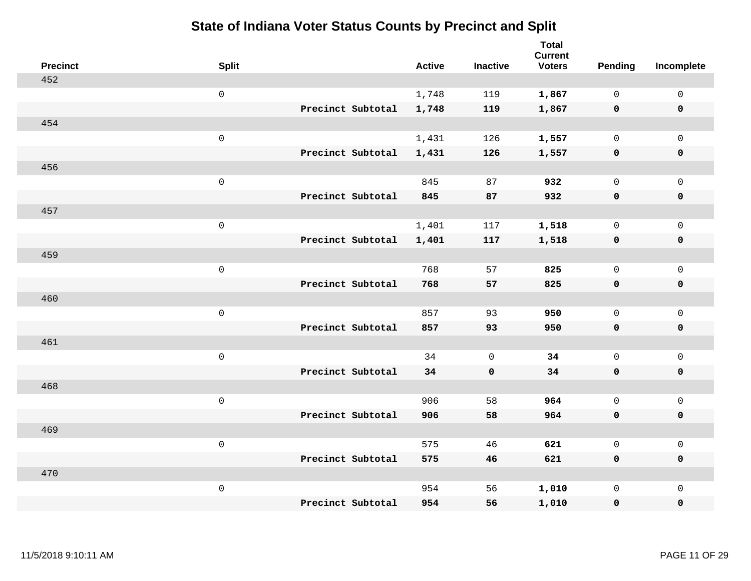| <b>Precinct</b> | <b>Split</b>        |                   | <b>Active</b> | <b>Inactive</b> | <b>Total</b><br><b>Current</b><br><b>Voters</b> | Pending      | Incomplete          |
|-----------------|---------------------|-------------------|---------------|-----------------|-------------------------------------------------|--------------|---------------------|
| 452             |                     |                   |               |                 |                                                 |              |                     |
|                 | $\mathbf 0$         |                   | 1,748         | 119             | 1,867                                           | $\mathbf 0$  | $\mathsf{O}$        |
|                 |                     | Precinct Subtotal | 1,748         | 119             | 1,867                                           | $\mathbf 0$  | $\mathbf 0$         |
| 454             |                     |                   |               |                 |                                                 |              |                     |
|                 | $\mathsf{O}\xspace$ |                   | 1,431         | 126             | 1,557                                           | $\mathbf 0$  | $\mathsf{O}$        |
|                 |                     | Precinct Subtotal | 1,431         | 126             | 1,557                                           | 0            | 0                   |
| 456             |                     |                   |               |                 |                                                 |              |                     |
|                 | $\mathbf 0$         |                   | 845           | 87              | 932                                             | $\mathbf 0$  | $\mathsf{O}\xspace$ |
|                 |                     | Precinct Subtotal | 845           | 87              | 932                                             | $\mathbf 0$  | 0                   |
| 457             |                     |                   |               |                 |                                                 |              |                     |
|                 | $\mathbf 0$         |                   | 1,401         | 117             | 1,518                                           | $\mathbf 0$  | $\mathsf{O}\xspace$ |
|                 |                     | Precinct Subtotal | 1,401         | 117             | 1,518                                           | $\mathbf 0$  | 0                   |
| 459             |                     |                   |               |                 |                                                 |              |                     |
|                 | $\mathbf 0$         |                   | 768           | 57              | 825                                             | $\mathbf 0$  | $\mathbf 0$         |
|                 |                     | Precinct Subtotal | 768           | 57              | 825                                             | 0            | 0                   |
| 460             |                     |                   |               |                 |                                                 |              |                     |
|                 | $\mathbf 0$         |                   | 857           | 93              | 950                                             | $\mathsf{O}$ | $\mathsf{O}$        |
|                 |                     | Precinct Subtotal | 857           | 93              | 950                                             | 0            | 0                   |
| 461             |                     |                   |               |                 |                                                 |              |                     |
|                 | $\mathbf 0$         |                   | 34            | $\mathbf 0$     | 34                                              | $\mathsf{O}$ | $\mathsf{O}$        |
|                 |                     | Precinct Subtotal | 34            | $\mathbf 0$     | 34                                              | 0            | 0                   |
| 468             |                     |                   |               |                 |                                                 |              |                     |
|                 | $\mathbf 0$         |                   | 906           | 58              | 964                                             | $\mathsf{O}$ | $\mathsf{O}\xspace$ |
|                 |                     | Precinct Subtotal | 906           | 58              | 964                                             | 0            | 0                   |
| 469             |                     |                   |               |                 |                                                 |              |                     |
|                 | $\mathbf 0$         |                   | 575           | 46              | 621                                             | $\mathbf 0$  | $\mathsf{O}\xspace$ |
|                 |                     | Precinct Subtotal | 575           | 46              | 621                                             | 0            | 0                   |
| 470             |                     |                   |               |                 |                                                 |              |                     |
|                 | $\mathbf 0$         |                   | 954           | 56              | 1,010                                           | $\mathsf{O}$ | $\mathsf{O}$        |
|                 |                     | Precinct Subtotal | 954           | 56              | 1,010                                           | 0            | 0                   |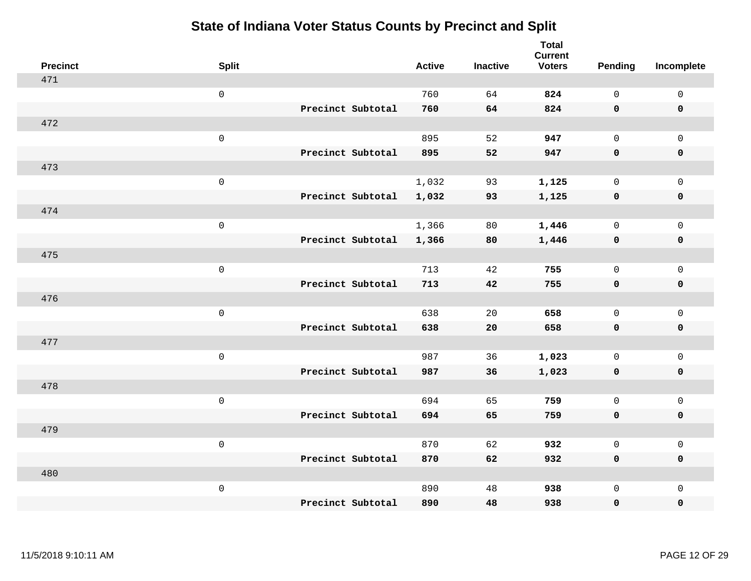| <b>Precinct</b> | <b>Split</b>        |                   | <b>Active</b> | <b>Inactive</b> | <b>Total</b><br><b>Current</b><br><b>Voters</b> | Pending      | Incomplete          |
|-----------------|---------------------|-------------------|---------------|-----------------|-------------------------------------------------|--------------|---------------------|
| 471             |                     |                   |               |                 |                                                 |              |                     |
|                 | $\mathsf{O}\xspace$ |                   | 760           | 64              | 824                                             | $\mathsf{O}$ | $\mathsf 0$         |
|                 |                     | Precinct Subtotal | 760           | 64              | 824                                             | $\mathbf 0$  | $\mathbf 0$         |
| 472             |                     |                   |               |                 |                                                 |              |                     |
|                 | $\mathbf 0$         |                   | 895           | 52              | 947                                             | $\mathbf 0$  | $\mathbf 0$         |
|                 |                     | Precinct Subtotal | 895           | 52              | 947                                             | $\mathbf 0$  | $\mathbf 0$         |
| 473             |                     |                   |               |                 |                                                 |              |                     |
|                 | $\mathsf 0$         |                   | 1,032         | 93              | 1,125                                           | $\mathbf 0$  | $\mathsf{O}\xspace$ |
|                 |                     | Precinct Subtotal | 1,032         | 93              | 1,125                                           | $\mathbf 0$  | $\mathbf 0$         |
| 474             |                     |                   |               |                 |                                                 |              |                     |
|                 | $\mathbf 0$         |                   | 1,366         | 80              | 1,446                                           | $\mathsf{O}$ | $\mathbf 0$         |
|                 |                     | Precinct Subtotal | 1,366         | 80              | 1,446                                           | $\mathbf 0$  | $\mathbf 0$         |
| 475             |                     |                   |               |                 |                                                 |              |                     |
|                 | $\mathbf 0$         |                   | 713           | 42              | 755                                             | $\mathbf 0$  | $\mathsf{O}\xspace$ |
|                 |                     | Precinct Subtotal | 713           | 42              | 755                                             | 0            | $\mathbf 0$         |
| 476             |                     |                   |               |                 |                                                 |              |                     |
|                 | $\mathbf 0$         |                   | 638           | 20              | 658                                             | $\mathbf 0$  | $\mathsf{O}\xspace$ |
|                 |                     | Precinct Subtotal | 638           | 20              | 658                                             | $\mathbf 0$  | $\mathbf 0$         |
| 477             |                     |                   |               |                 |                                                 |              |                     |
|                 | $\mathbf 0$         |                   | 987           | 36              | 1,023                                           | $\mathsf{O}$ | $\mathbf 0$         |
|                 |                     | Precinct Subtotal | 987           | 36              | 1,023                                           | 0            | 0                   |
| 478             |                     |                   |               |                 |                                                 |              |                     |
|                 | $\mathbf 0$         |                   | 694           | 65              | 759                                             | $\mathbf 0$  | $\mathsf{O}\xspace$ |
|                 |                     | Precinct Subtotal | 694           | 65              | 759                                             | $\mathbf 0$  | $\pmb{0}$           |
| 479             |                     |                   |               |                 |                                                 |              |                     |
|                 | $\mathbf 0$         |                   | 870           | 62              | 932                                             | $\mathbf 0$  | $\mathbf 0$         |
|                 |                     | Precinct Subtotal | 870           | 62              | 932                                             | $\mathbf 0$  | $\mathbf 0$         |
| 480             |                     |                   |               |                 |                                                 |              |                     |
|                 | $\mathbf 0$         |                   | 890           | 48              | 938                                             | $\mathsf{O}$ | $\mathbf 0$         |
|                 |                     | Precinct Subtotal | 890           | 48              | 938                                             | 0            | $\pmb{0}$           |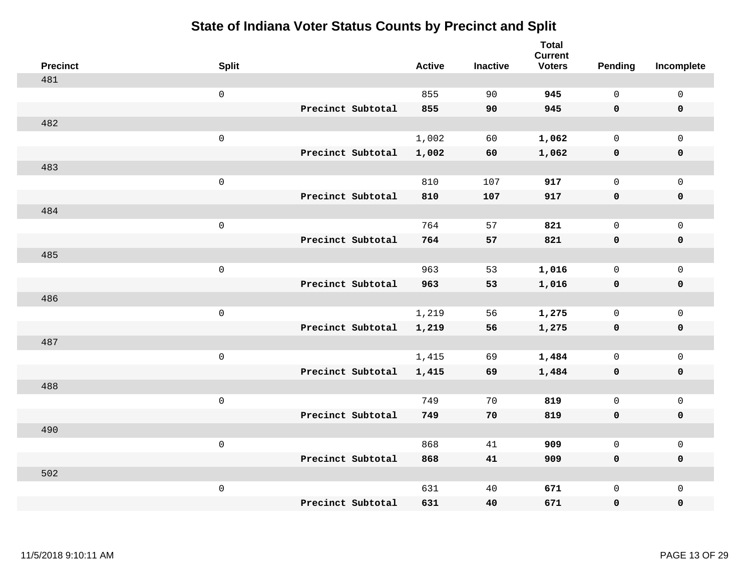| <b>Precinct</b> | <b>Split</b>        |                   | <b>Active</b> | <b>Inactive</b> | <b>Total</b><br><b>Current</b><br><b>Voters</b> | <b>Pending</b> | Incomplete          |
|-----------------|---------------------|-------------------|---------------|-----------------|-------------------------------------------------|----------------|---------------------|
| 481             |                     |                   |               |                 |                                                 |                |                     |
|                 | $\mathsf 0$         |                   | 855           | 90              | 945                                             | $\mathsf{O}$   | $\mathsf 0$         |
|                 |                     | Precinct Subtotal | 855           | 90              | 945                                             | $\mathbf 0$    | $\mathbf 0$         |
| 482             |                     |                   |               |                 |                                                 |                |                     |
|                 | $\mathsf{O}\xspace$ |                   | 1,002         | 60              | 1,062                                           | $\mathbf{0}$   | $\mathsf{O}$        |
|                 |                     | Precinct Subtotal | 1,002         | 60              | 1,062                                           | $\mathbf 0$    | 0                   |
| 483             |                     |                   |               |                 |                                                 |                |                     |
|                 | $\mathsf 0$         |                   | 810           | 107             | 917                                             | $\mathbf{0}$   | $\mathsf{O}\xspace$ |
|                 |                     | Precinct Subtotal | 810           | 107             | 917                                             | 0              | $\pmb{0}$           |
| 484             |                     |                   |               |                 |                                                 |                |                     |
|                 | $\mathsf 0$         |                   | 764           | 57              | 821                                             | $\mathbf 0$    | $\mathsf{O}$        |
|                 |                     | Precinct Subtotal | 764           | 57              | 821                                             | 0              | 0                   |
| 485             |                     |                   |               |                 |                                                 |                |                     |
|                 | $\mathsf{O}\xspace$ |                   | 963           | 53              | 1,016                                           | $\mathbf 0$    | $\mathsf{O}\xspace$ |
|                 |                     | Precinct Subtotal | 963           | 53              | 1,016                                           | 0              | 0                   |
| 486             |                     |                   |               |                 |                                                 |                |                     |
|                 | $\mathsf 0$         |                   | 1,219         | 56              | 1,275                                           | $\mathbf 0$    | $\mathsf{O}$        |
|                 |                     | Precinct Subtotal | 1,219         | 56              | 1,275                                           | $\mathbf 0$    | 0                   |
| 487             |                     |                   |               |                 |                                                 |                |                     |
|                 | $\mathsf 0$         |                   | 1,415         | 69              | 1,484                                           | $\mathsf{O}$   | $\mathsf{O}$        |
|                 |                     | Precinct Subtotal | 1,415         | 69              | 1,484                                           | 0              | 0                   |
| 488             |                     |                   |               |                 |                                                 |                |                     |
|                 | $\mathsf 0$         |                   | 749           | 70              | 819                                             | $\mathsf{O}$   | $\mathsf{O}$        |
|                 |                     | Precinct Subtotal | 749           | 70              | 819                                             | 0              | 0                   |
| 490             |                     |                   |               |                 |                                                 |                |                     |
|                 | $\mathsf 0$         |                   | 868           | 41              | 909                                             | $\mathbf{0}$   | $\mathsf{O}$        |
|                 |                     | Precinct Subtotal | 868           | 41              | 909                                             | 0              | 0                   |
| 502             |                     |                   |               |                 |                                                 |                |                     |
|                 | $\mathsf 0$         |                   | 631           | 40              | 671                                             | $\mathsf{O}$   | $\mathsf{O}$        |
|                 |                     | Precinct Subtotal | 631           | 40              | 671                                             | 0              | 0                   |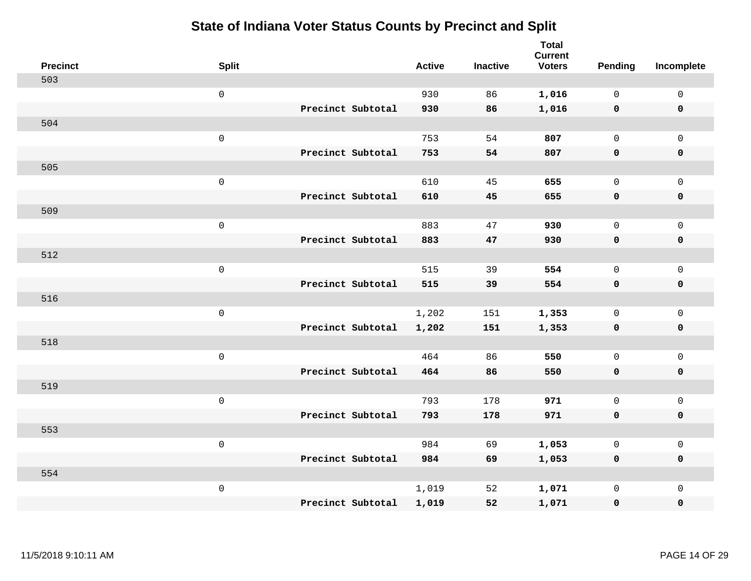|     | <b>Precinct</b> | <b>Split</b>        |                   | <b>Active</b> | <b>Inactive</b> | <b>Total</b><br><b>Current</b><br><b>Voters</b> | <b>Pending</b> | Incomplete          |
|-----|-----------------|---------------------|-------------------|---------------|-----------------|-------------------------------------------------|----------------|---------------------|
| 503 |                 |                     |                   |               |                 |                                                 |                |                     |
|     |                 | $\mathsf{O}\xspace$ |                   | 930           | 86              | 1,016                                           | $\mathbf 0$    | $\mathsf 0$         |
|     |                 |                     | Precinct Subtotal | 930           | 86              | 1,016                                           | $\mathbf 0$    | $\mathbf 0$         |
| 504 |                 |                     |                   |               |                 |                                                 |                |                     |
|     |                 | $\mathbf 0$         |                   | 753           | 54              | 807                                             | $\mathbf 0$    | $\mathbf 0$         |
|     |                 |                     | Precinct Subtotal | 753           | 54              | 807                                             | $\mathbf 0$    | $\pmb{0}$           |
| 505 |                 |                     |                   |               |                 |                                                 |                |                     |
|     |                 | $\mathsf 0$         |                   | 610           | 45              | 655                                             | $\mathbf 0$    | $\mathbf 0$         |
|     |                 |                     | Precinct Subtotal | 610           | 45              | 655                                             | $\mathbf 0$    | $\mathbf 0$         |
| 509 |                 |                     |                   |               |                 |                                                 |                |                     |
|     |                 | $\mathbf 0$         |                   | 883           | 47              | 930                                             | $\mathbf 0$    | $\mathbf 0$         |
|     |                 |                     | Precinct Subtotal | 883           | 47              | 930                                             | $\mathbf 0$    | $\mathbf 0$         |
| 512 |                 |                     |                   |               |                 |                                                 |                |                     |
|     |                 | $\mathsf 0$         |                   | 515           | 39              | 554                                             | $\Omega$       | $\mathbf{0}$        |
|     |                 |                     | Precinct Subtotal | 515           | 39              | 554                                             | $\mathbf 0$    | $\mathbf 0$         |
| 516 |                 |                     |                   |               |                 |                                                 |                |                     |
|     |                 | $\mathbf 0$         |                   | 1,202         | 151             | 1,353                                           | $\mathsf{O}$   | $\mathbf 0$         |
|     |                 |                     | Precinct Subtotal | 1,202         | 151             | 1,353                                           | $\mathbf 0$    | $\mathbf 0$         |
| 518 |                 |                     |                   |               |                 |                                                 |                |                     |
|     |                 | $\mathbf 0$         |                   | 464           | 86              | 550                                             | $\mathbf 0$    | $\mathsf{O}\xspace$ |
|     |                 |                     | Precinct Subtotal | 464           | 86              | 550                                             | $\mathbf 0$    | $\mathbf 0$         |
| 519 |                 |                     |                   |               |                 |                                                 |                |                     |
|     |                 | $\mathbf 0$         |                   | 793           | 178             | 971                                             | $\mathbf 0$    | $\mathsf{O}\xspace$ |
|     |                 |                     | Precinct Subtotal | 793           | 178             | 971                                             | $\mathbf 0$    | $\mathbf 0$         |
| 553 |                 |                     |                   |               |                 |                                                 |                |                     |
|     |                 | $\mathsf 0$         |                   | 984           | 69              | 1,053                                           | 0              | $\mathsf 0$         |
|     |                 |                     | Precinct Subtotal | 984           | 69              | 1,053                                           | $\mathbf 0$    | $\mathbf 0$         |
| 554 |                 |                     |                   |               |                 |                                                 |                |                     |
|     |                 | $\mathbf 0$         |                   | 1,019         | 52              | 1,071                                           | $\mathsf{O}$   | $\mathbf 0$         |
|     |                 |                     | Precinct Subtotal | 1,019         | 52              | 1,071                                           | 0              | $\pmb{0}$           |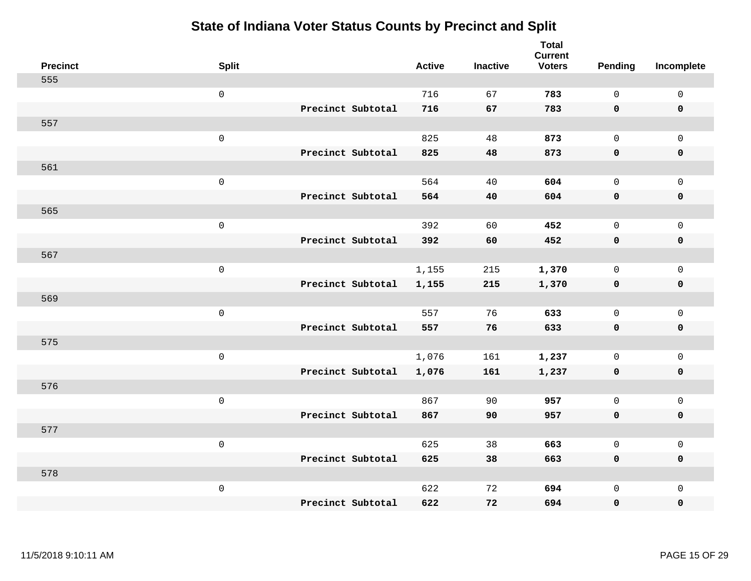| <b>Precinct</b> | <b>Split</b>        |                   | <b>Active</b> | <b>Inactive</b> | <b>Total</b><br><b>Current</b><br><b>Voters</b> | Pending      | Incomplete  |
|-----------------|---------------------|-------------------|---------------|-----------------|-------------------------------------------------|--------------|-------------|
| 555             |                     |                   |               |                 |                                                 |              |             |
|                 | $\mathsf{O}\xspace$ |                   | 716           | 67              | 783                                             | $\mathsf{O}$ | $\mathbf 0$ |
|                 |                     | Precinct Subtotal | 716           | 67              | 783                                             | $\mathbf 0$  | $\mathbf 0$ |
| 557             |                     |                   |               |                 |                                                 |              |             |
|                 | $\mathsf 0$         |                   | 825           | 48              | 873                                             | $\mathbf 0$  | $\mathbf 0$ |
|                 |                     | Precinct Subtotal | 825           | 48              | 873                                             | $\mathbf 0$  | $\mathbf 0$ |
| 561             |                     |                   |               |                 |                                                 |              |             |
|                 | $\mathsf 0$         |                   | 564           | 40              | 604                                             | $\mathbf 0$  | $\mathbf 0$ |
|                 |                     | Precinct Subtotal | 564           | 40              | 604                                             | $\mathbf 0$  | $\mathbf 0$ |
| 565             |                     |                   |               |                 |                                                 |              |             |
|                 | $\mathsf 0$         |                   | 392           | 60              | 452                                             | $\mathsf{O}$ | $\mathbf 0$ |
|                 |                     | Precinct Subtotal | 392           | 60              | 452                                             | $\mathbf 0$  | $\mathbf 0$ |
| 567             |                     |                   |               |                 |                                                 |              |             |
|                 | $\mathsf 0$         |                   | 1,155         | 215             | 1,370                                           | $\mathbf 0$  | $\mathbf 0$ |
|                 |                     | Precinct Subtotal | 1,155         | 215             | 1,370                                           | 0            | $\mathbf 0$ |
| 569             |                     |                   |               |                 |                                                 |              |             |
|                 | $\mathsf 0$         |                   | 557           | 76              | 633                                             | $\mathbf 0$  | $\mathbf 0$ |
|                 |                     | Precinct Subtotal | 557           | 76              | 633                                             | $\mathbf 0$  | $\mathbf 0$ |
| 575             |                     |                   |               |                 |                                                 |              |             |
|                 | $\mathsf 0$         |                   | 1,076         | 161             | 1,237                                           | 0            | $\mathbf 0$ |
|                 |                     | Precinct Subtotal | 1,076         | 161             | 1,237                                           | 0            | 0           |
| 576             |                     |                   |               |                 |                                                 |              |             |
|                 | $\mathsf 0$         |                   | 867           | 90              | 957                                             | $\mathbf 0$  | $\mathbf 0$ |
|                 |                     | Precinct Subtotal | 867           | 90              | 957                                             | $\mathbf 0$  | $\pmb{0}$   |
| 577             |                     |                   |               |                 |                                                 |              |             |
|                 | $\mathbf 0$         |                   | 625           | 38              | 663                                             | $\mathbf 0$  | $\mathbf 0$ |
|                 |                     | Precinct Subtotal | 625           | 38              | 663                                             | 0            | $\mathbf 0$ |
| 578             |                     |                   |               |                 |                                                 |              |             |
|                 | $\mathsf 0$         |                   | 622           | 72              | 694                                             | $\mathbf 0$  | $\mathbf 0$ |
|                 |                     | Precinct Subtotal | 622           | 72              | 694                                             | 0            | 0           |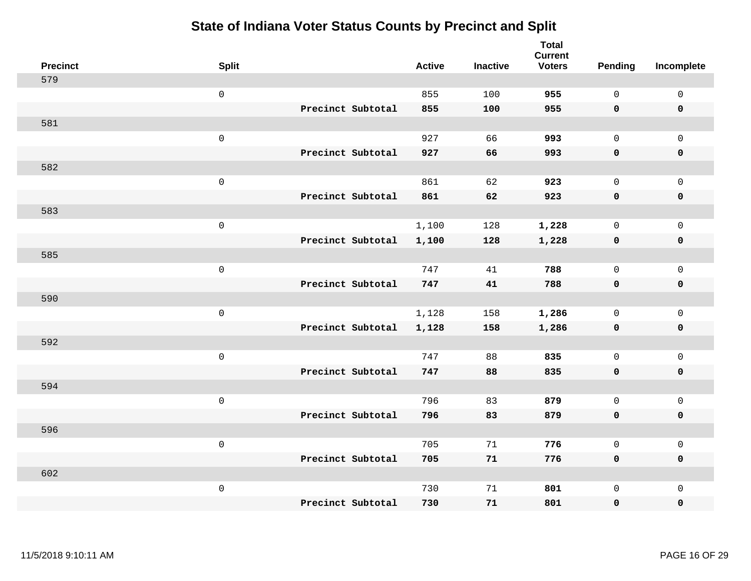|     | <b>Precinct</b> | <b>Split</b>        |                   | <b>Active</b> | <b>Inactive</b> | <b>Total</b><br><b>Current</b><br><b>Voters</b> | Pending      | Incomplete          |
|-----|-----------------|---------------------|-------------------|---------------|-----------------|-------------------------------------------------|--------------|---------------------|
| 579 |                 |                     |                   |               |                 |                                                 |              |                     |
|     |                 | $\mathsf{O}\xspace$ |                   | 855           | 100             | 955                                             | $\mathsf{O}$ | $\mathsf 0$         |
|     |                 |                     | Precinct Subtotal | 855           | 100             | 955                                             | $\mathbf 0$  | $\mathbf 0$         |
| 581 |                 |                     |                   |               |                 |                                                 |              |                     |
|     |                 | $\mathbf 0$         |                   | 927           | 66              | 993                                             | $\mathbf 0$  | $\mathbf{0}$        |
|     |                 |                     | Precinct Subtotal | 927           | 66              | 993                                             | $\mathbf 0$  | $\mathbf 0$         |
| 582 |                 |                     |                   |               |                 |                                                 |              |                     |
|     |                 | $\mathsf 0$         |                   | 861           | 62              | 923                                             | $\Omega$     | $\mathbf 0$         |
|     |                 |                     | Precinct Subtotal | 861           | 62              | 923                                             | $\mathbf 0$  | $\mathbf 0$         |
| 583 |                 |                     |                   |               |                 |                                                 |              |                     |
|     |                 | $\mathbf 0$         |                   | 1,100         | 128             | 1,228                                           | $\mathsf{O}$ | $\mathbf 0$         |
|     |                 |                     | Precinct Subtotal | 1,100         | 128             | 1,228                                           | $\mathbf 0$  | $\mathbf 0$         |
| 585 |                 |                     |                   |               |                 |                                                 |              |                     |
|     |                 | $\mathbf 0$         |                   | 747           | 41              | 788                                             | $\mathbf 0$  | $\mathsf{O}\xspace$ |
|     |                 |                     | Precinct Subtotal | 747           | 41              | 788                                             | $\mathbf 0$  | $\mathbf 0$         |
| 590 |                 |                     |                   |               |                 |                                                 |              |                     |
|     |                 | $\mathbf 0$         |                   | 1,128         | 158             | 1,286                                           | $\mathbf 0$  | $\mathbf 0$         |
|     |                 |                     | Precinct Subtotal | 1,128         | 158             | 1,286                                           | $\mathbf 0$  | $\mathbf 0$         |
| 592 |                 |                     |                   |               |                 |                                                 |              |                     |
|     |                 | $\mathbf 0$         |                   | 747           | 88              | 835                                             | $\mathsf{O}$ | $\mathbf 0$         |
|     |                 |                     | Precinct Subtotal | 747           | 88              | 835                                             | $\mathbf 0$  | 0                   |
| 594 |                 |                     |                   |               |                 |                                                 |              |                     |
|     |                 | $\mathbf 0$         |                   | 796           | 83              | 879                                             | $\mathbf 0$  | $\mathbf 0$         |
|     |                 |                     | Precinct Subtotal | 796           | 83              | 879                                             | $\mathbf 0$  | $\pmb{0}$           |
| 596 |                 |                     |                   |               |                 |                                                 |              |                     |
|     |                 | $\mathbf 0$         |                   | 705           | 71              | 776                                             | $\mathbf 0$  | $\mathbf 0$         |
|     |                 |                     | Precinct Subtotal | 705           | 71              | 776                                             | $\mathbf 0$  | $\mathbf 0$         |
| 602 |                 |                     |                   |               |                 |                                                 |              |                     |
|     |                 | $\mathbf 0$         |                   | 730           | 71              | 801                                             | $\mathsf{O}$ | $\mathbf 0$         |
|     |                 |                     | Precinct Subtotal | 730           | 71              | 801                                             | 0            | 0                   |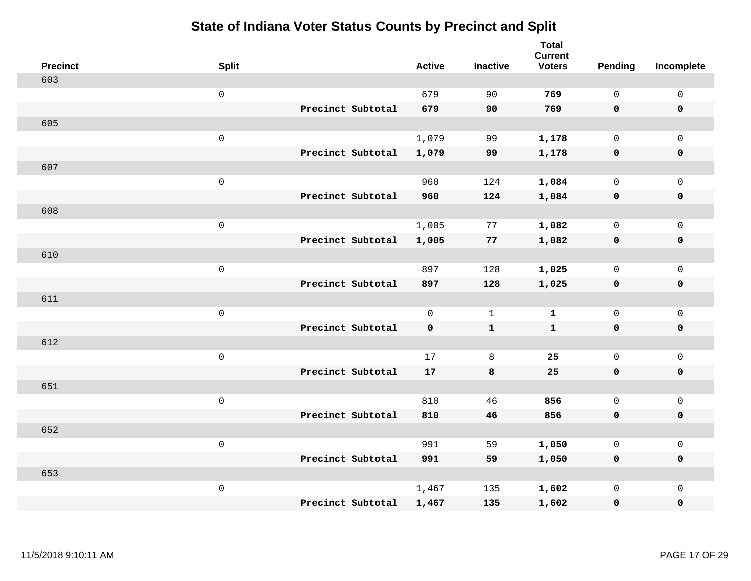| <b>Precinct</b> | <b>Split</b>        |                   | <b>Active</b> | <b>Inactive</b> | <b>Total</b><br><b>Current</b><br><b>Voters</b> | <b>Pending</b> | Incomplete  |
|-----------------|---------------------|-------------------|---------------|-----------------|-------------------------------------------------|----------------|-------------|
| 603             |                     |                   |               |                 |                                                 |                |             |
|                 | $\mathsf{O}\xspace$ |                   | 679           | 90              | 769                                             | $\mathbf 0$    | $\mathsf 0$ |
|                 |                     | Precinct Subtotal | 679           | 90              | 769                                             | $\mathbf 0$    | $\mathbf 0$ |
| 605             |                     |                   |               |                 |                                                 |                |             |
|                 | $\mathbf 0$         |                   | 1,079         | 99              | 1,178                                           | $\mathsf{O}$   | $\mathbf 0$ |
|                 |                     | Precinct Subtotal | 1,079         | 99              | 1,178                                           | $\mathbf 0$    | $\pmb{0}$   |
| 607             |                     |                   |               |                 |                                                 |                |             |
|                 | $\mathsf 0$         |                   | 960           | 124             | 1,084                                           | $\mathbf 0$    | $\mathsf 0$ |
|                 |                     | Precinct Subtotal | 960           | 124             | 1,084                                           | $\mathbf 0$    | $\mathbf 0$ |
| 608             |                     |                   |               |                 |                                                 |                |             |
|                 | $\mathbf 0$         |                   | 1,005         | 77              | 1,082                                           | $\mathbf 0$    | $\mathsf 0$ |
|                 |                     | Precinct Subtotal | 1,005         | 77              | 1,082                                           | $\mathbf 0$    | $\mathbf 0$ |
| 610             |                     |                   |               |                 |                                                 |                |             |
|                 | $\mathsf 0$         |                   | 897           | 128             | 1,025                                           | $\mathbf 0$    | $\mathbf 0$ |
|                 |                     | Precinct Subtotal | 897           | 128             | 1,025                                           | 0              | $\mathbf 0$ |
| 611             |                     |                   |               |                 |                                                 |                |             |
|                 | $\mathbf 0$         |                   | $\mathbf 0$   | $\mathbf{1}$    | $\mathbf 1$                                     | $\mathsf{O}$   | $\mathsf 0$ |
|                 |                     | Precinct Subtotal | 0             | $\mathbf{1}$    | $\mathbf 1$                                     | $\mathbf 0$    | $\mathbf 0$ |
| 612             |                     |                   |               |                 |                                                 |                |             |
|                 | $\mathbf 0$         |                   | 17            | 8               | 25                                              | $\mathbf 0$    | $\mathsf 0$ |
|                 |                     | Precinct Subtotal | 17            | 8               | 25                                              | $\mathbf 0$    | $\mathbf 0$ |
| 651             |                     |                   |               |                 |                                                 |                |             |
|                 | $\mathbf 0$         |                   | 810           | 46              | 856                                             | $\mathbf 0$    | $\mathsf 0$ |
|                 |                     | Precinct Subtotal | 810           | 46              | 856                                             | $\mathbf 0$    | $\mathbf 0$ |
| 652             |                     |                   |               |                 |                                                 |                |             |
|                 | $\mathsf 0$         |                   | 991           | 59              | 1,050                                           | 0              | $\mathsf 0$ |
|                 |                     | Precinct Subtotal | 991           | 59              | 1,050                                           | $\mathbf 0$    | $\mathbf 0$ |
| 653             |                     |                   |               |                 |                                                 |                |             |
|                 | $\mathbf 0$         |                   | 1,467         | 135             | 1,602                                           | $\mathsf{O}$   | $\mathbf 0$ |
|                 |                     | Precinct Subtotal | 1,467         | 135             | 1,602                                           | 0              | $\pmb{0}$   |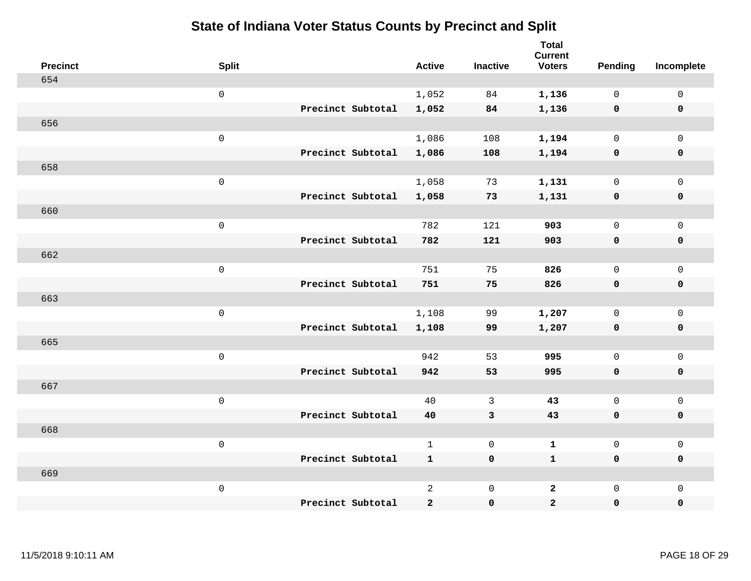| <b>Precinct</b> | <b>Split</b>        |                   | <b>Active</b>  | <b>Inactive</b> | <b>Total</b><br><b>Current</b><br><b>Voters</b> | <b>Pending</b> | Incomplete          |
|-----------------|---------------------|-------------------|----------------|-----------------|-------------------------------------------------|----------------|---------------------|
| 654             |                     |                   |                |                 |                                                 |                |                     |
|                 | $\mathsf{O}\xspace$ |                   | 1,052          | 84              | 1,136                                           | $\mathbf 0$    | $\mathsf 0$         |
|                 |                     | Precinct Subtotal | 1,052          | 84              | 1,136                                           | $\mathbf 0$    | $\mathbf 0$         |
| 656             |                     |                   |                |                 |                                                 |                |                     |
|                 | $\mathsf 0$         |                   | 1,086          | 108             | 1,194                                           | $\mathbf 0$    | $\mathbf 0$         |
|                 |                     | Precinct Subtotal | 1,086          | 108             | 1,194                                           | $\mathbf 0$    | $\mathbf 0$         |
| 658             |                     |                   |                |                 |                                                 |                |                     |
|                 | $\mathsf 0$         |                   | 1,058          | 73              | 1,131                                           | $\mathsf{O}$   | $\mathbf 0$         |
|                 |                     | Precinct Subtotal | 1,058          | 73              | 1,131                                           | $\mathbf 0$    | $\mathbf 0$         |
| 660             |                     |                   |                |                 |                                                 |                |                     |
|                 | $\mathsf 0$         |                   | 782            | 121             | 903                                             | $\mathsf{O}$   | $\mathsf{O}\xspace$ |
|                 |                     | Precinct Subtotal | 782            | 121             | 903                                             | $\mathbf 0$    | 0                   |
| 662             |                     |                   |                |                 |                                                 |                |                     |
|                 | $\mathsf 0$         |                   | 751            | 75              | 826                                             | $\mathbf 0$    | $\mathsf{O}\xspace$ |
|                 |                     | Precinct Subtotal | 751            | 75              | 826                                             | 0              | $\mathbf 0$         |
| 663             |                     |                   |                |                 |                                                 |                |                     |
|                 | $\mathsf 0$         |                   | 1,108          | 99              | 1,207                                           | $\mathsf{O}$   | $\mathsf{O}\xspace$ |
|                 |                     | Precinct Subtotal | 1,108          | 99              | 1,207                                           | $\mathbf 0$    | $\mathbf 0$         |
| 665             |                     |                   |                |                 |                                                 |                |                     |
|                 | $\mathsf 0$         |                   | 942            | 53              | 995                                             | $\mathbf 0$    | $\mathbf 0$         |
|                 |                     | Precinct Subtotal | 942            | 53              | 995                                             | 0              | $\mathbf 0$         |
| 667             |                     |                   |                |                 |                                                 |                |                     |
|                 | $\mathsf 0$         |                   | 40             | $\mathfrak{Z}$  | 43                                              | $\mathbf 0$    | $\mathsf 0$         |
|                 |                     | Precinct Subtotal | 40             | $\mathbf{3}$    | 43                                              | $\mathbf 0$    | 0                   |
| 668             |                     |                   |                |                 |                                                 |                |                     |
|                 | $\mbox{O}$          |                   | $\mathbf{1}$   | $\mathbf 0$     | $\mathbf 1$                                     | $\mathsf{O}$   | $\mathsf 0$         |
|                 |                     | Precinct Subtotal | $\mathbf{1}$   | $\mathbf 0$     | $\mathbf{1}$                                    | 0              | 0                   |
| 669             |                     |                   |                |                 |                                                 |                |                     |
|                 | $\mathsf 0$         |                   | $\overline{a}$ | $\mathsf 0$     | $\overline{a}$                                  | $\mathbf 0$    | $\mathbf 0$         |
|                 |                     | Precinct Subtotal | $\mathbf{2}$   | $\pmb{0}$       | $\overline{a}$                                  | 0              | $\pmb{0}$           |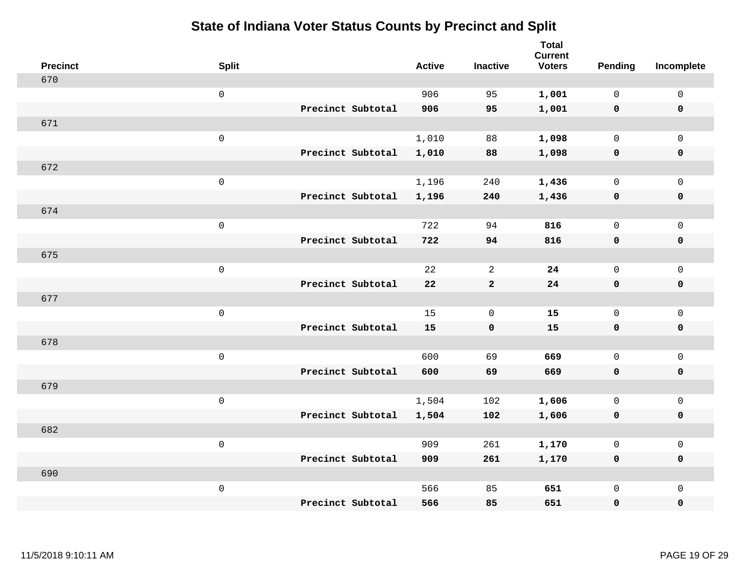| <b>Precinct</b> | <b>Split</b>        |                   | <b>Active</b> | <b>Inactive</b> | <b>Total</b><br><b>Current</b><br><b>Voters</b> | Pending      | Incomplete          |
|-----------------|---------------------|-------------------|---------------|-----------------|-------------------------------------------------|--------------|---------------------|
| 670             |                     |                   |               |                 |                                                 |              |                     |
|                 | $\mathsf{O}$        |                   | 906           | 95              | 1,001                                           | $\mathbf 0$  | $\mathsf{O}\xspace$ |
|                 |                     | Precinct Subtotal | 906           | 95              | 1,001                                           | $\mathbf 0$  | $\pmb{0}$           |
| 671             |                     |                   |               |                 |                                                 |              |                     |
|                 | $\mathsf 0$         |                   | 1,010         | 88              | 1,098                                           | $\mathbf 0$  | $\mathsf{O}\xspace$ |
|                 |                     | Precinct Subtotal | 1,010         | 88              | 1,098                                           | $\mathbf 0$  | $\pmb{0}$           |
| 672             |                     |                   |               |                 |                                                 |              |                     |
|                 | $\mathsf 0$         |                   | 1,196         | 240             | 1,436                                           | $\mathbf 0$  | $\mathsf{O}\xspace$ |
|                 |                     | Precinct Subtotal | 1,196         | 240             | 1,436                                           | 0            | 0                   |
| 674             |                     |                   |               |                 |                                                 |              |                     |
|                 | $\,0\,$             |                   | 722           | 94              | 816                                             | $\mathbf 0$  | $\mathsf{O}\xspace$ |
|                 |                     | Precinct Subtotal | 722           | 94              | 816                                             | $\mathbf 0$  | 0                   |
| 675             |                     |                   |               |                 |                                                 |              |                     |
|                 | $\mathbf 0$         |                   | 22            | $\overline{a}$  | 24                                              | $\mathbf 0$  | $\mathsf{O}\xspace$ |
|                 |                     | Precinct Subtotal | ${\bf 22}$    | $\mathbf{2}$    | 24                                              | $\mathbf 0$  | 0                   |
| 677             |                     |                   |               |                 |                                                 |              |                     |
|                 | $\mathsf{O}\xspace$ |                   | 15            | $\mathbf 0$     | 15                                              | $\mathbf 0$  | $\mathsf{O}\xspace$ |
|                 |                     | Precinct Subtotal | 15            | $\mathbf 0$     | 15                                              | $\mathbf 0$  | 0                   |
| 678             |                     |                   |               |                 |                                                 |              |                     |
|                 | $\mathbf 0$         |                   | 600           | 69              | 669                                             | $\mathbf 0$  | $\mathsf{O}$        |
|                 |                     | Precinct Subtotal | 600           | 69              | 669                                             | 0            | 0                   |
| 679             |                     |                   |               |                 |                                                 |              |                     |
|                 | $\mathsf{O}\xspace$ |                   | 1,504         | 102             | 1,606                                           | $\mathsf{O}$ | $\mathsf{O}\xspace$ |
|                 |                     | Precinct Subtotal | 1,504         | 102             | 1,606                                           | 0            | 0                   |
| 682             |                     |                   |               |                 |                                                 |              |                     |
|                 | $\mathsf 0$         |                   | 909           | 261             | 1,170                                           | $\mathbf 0$  | $\mathsf 0$         |
|                 |                     | Precinct Subtotal | 909           | 261             | 1,170                                           | 0            | 0                   |
| 690             |                     |                   |               |                 |                                                 |              |                     |
|                 | $\mathbf 0$         |                   | 566           | 85              | 651                                             | $\mathsf{O}$ | $\mathsf{O}$        |
|                 |                     | Precinct Subtotal | 566           | 85              | 651                                             | 0            | $\pmb{0}$           |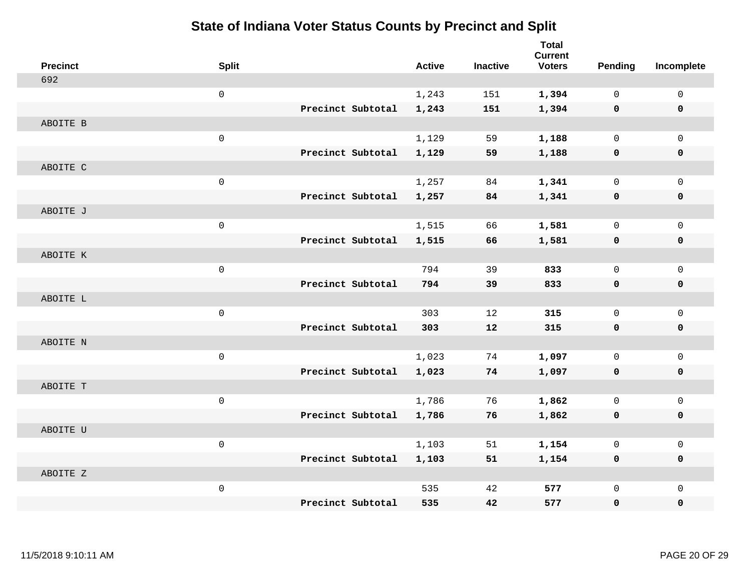| <b>Precinct</b> | <b>Split</b> |                   | <b>Active</b> | <b>Inactive</b> | <b>Total</b><br><b>Current</b><br><b>Voters</b> | <b>Pending</b> | Incomplete  |
|-----------------|--------------|-------------------|---------------|-----------------|-------------------------------------------------|----------------|-------------|
| 692             |              |                   |               |                 |                                                 |                |             |
|                 | $\mathsf{O}$ |                   | 1,243         | 151             | 1,394                                           | $\mathbf 0$    | $\mathbf 0$ |
|                 |              | Precinct Subtotal | 1,243         | 151             | 1,394                                           | $\mathbf 0$    | $\mathbf 0$ |
| ABOITE B        |              |                   |               |                 |                                                 |                |             |
|                 | $\mathsf 0$  |                   | 1,129         | 59              | 1,188                                           | 0              | $\mathbf 0$ |
|                 |              | Precinct Subtotal | 1,129         | 59              | 1,188                                           | 0              | $\mathbf 0$ |
| ABOITE C        |              |                   |               |                 |                                                 |                |             |
|                 | $\mathsf 0$  |                   | 1,257         | 84              | 1,341                                           | 0              | $\mathbf 0$ |
|                 |              | Precinct Subtotal | 1,257         | 84              | 1,341                                           | 0              | $\mathbf 0$ |
| ABOITE J        |              |                   |               |                 |                                                 |                |             |
|                 | $\mathbf 0$  |                   | 1,515         | 66              | 1,581                                           | 0              | $\mathbf 0$ |
|                 |              | Precinct Subtotal | 1,515         | 66              | 1,581                                           | 0              | $\mathbf 0$ |
| ABOITE K        |              |                   |               |                 |                                                 |                |             |
|                 | $\mathbf 0$  |                   | 794           | 39              | 833                                             | 0              | $\mathbf 0$ |
|                 |              | Precinct Subtotal | 794           | 39              | 833                                             | $\mathbf 0$    | $\mathbf 0$ |
| ABOITE L        |              |                   |               |                 |                                                 |                |             |
|                 | $\mathsf 0$  |                   | 303           | 12              | 315                                             | $\mathsf{O}$   | $\mathbf 0$ |
|                 |              | Precinct Subtotal | 303           | 12              | 315                                             | $\mathbf 0$    | 0           |
| ABOITE N        |              |                   |               |                 |                                                 |                |             |
|                 | $\mathsf 0$  |                   | 1,023         | 74              | 1,097                                           | $\mathbf{0}$   | $\mathbf 0$ |
|                 |              | Precinct Subtotal | 1,023         | 74              | 1,097                                           | 0              | 0           |
| ABOITE T        |              |                   |               |                 |                                                 |                |             |
|                 | $\mathbf 0$  |                   | 1,786         | 76              | 1,862                                           | 0              | $\mathbf 0$ |
|                 |              | Precinct Subtotal | 1,786         | 76              | 1,862                                           | 0              | $\mathbf 0$ |
| ABOITE U        |              |                   |               |                 |                                                 |                |             |
|                 | $\mathbf 0$  |                   | 1,103         | 51              | 1,154                                           | 0              | $\mathbf 0$ |
|                 |              | Precinct Subtotal | 1,103         | 51              | 1,154                                           | 0              | $\mathbf 0$ |
| ABOITE Z        |              |                   |               |                 |                                                 |                |             |
|                 | $\mathsf 0$  |                   | 535           | 42              | 577                                             | 0              | $\mathbf 0$ |
|                 |              | Precinct Subtotal | 535           | 42              | 577                                             | 0              | $\mathbf 0$ |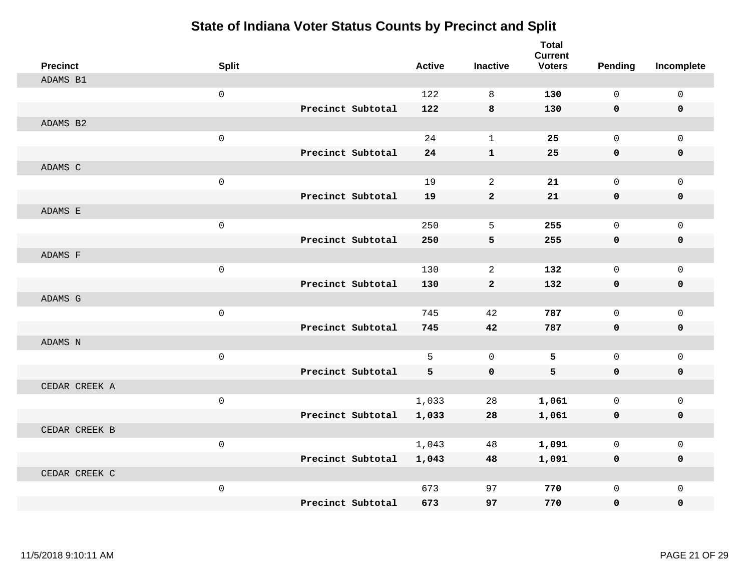| <b>Precinct</b> | <b>Split</b>        |                   | <b>Active</b> | <b>Inactive</b> | <b>Total</b><br><b>Current</b><br><b>Voters</b> | Pending      | Incomplete   |
|-----------------|---------------------|-------------------|---------------|-----------------|-------------------------------------------------|--------------|--------------|
| ADAMS B1        |                     |                   |               |                 |                                                 |              |              |
|                 | $\mathbf 0$         |                   | 122           | 8               | 130                                             | $\Omega$     | $\mathbf 0$  |
|                 |                     | Precinct Subtotal | 122           | 8               | 130                                             | $\mathbf 0$  | $\mathbf 0$  |
| ADAMS B2        |                     |                   |               |                 |                                                 |              |              |
|                 | $\mathbf 0$         |                   | 24            | $\mathbf{1}$    | 25                                              | $\mathbf 0$  | $\mathbf 0$  |
|                 |                     | Precinct Subtotal | 24            | $\mathbf{1}$    | 25                                              | $\mathbf{0}$ | 0            |
| ADAMS C         |                     |                   |               |                 |                                                 |              |              |
|                 | $\mathbf 0$         |                   | 19            | 2               | 21                                              | $\mathbf{0}$ | $\mathbf 0$  |
|                 |                     | Precinct Subtotal | 19            | $\overline{2}$  | 21                                              | $\mathbf 0$  | 0            |
| ADAMS E         |                     |                   |               |                 |                                                 |              |              |
|                 | $\mathbf 0$         |                   | 250           | 5               | 255                                             | $\mathbf 0$  | $\mathbf 0$  |
|                 |                     | Precinct Subtotal | 250           | 5               | 255                                             | $\mathbf 0$  | 0            |
| ADAMS F         |                     |                   |               |                 |                                                 |              |              |
|                 | $\mathbf 0$         |                   | 130           | 2               | 132                                             | $\Omega$     | $\mathbf 0$  |
|                 |                     | Precinct Subtotal | 130           | $\overline{2}$  | 132                                             | $\mathbf 0$  | 0            |
| ADAMS G         |                     |                   |               |                 |                                                 |              |              |
|                 | $\mathsf 0$         |                   | 745           | 42              | 787                                             | $\mathbf{0}$ | $\mathbf 0$  |
|                 |                     | Precinct Subtotal | 745           | 42              | 787                                             | $\mathbf 0$  | 0            |
| ADAMS N         |                     |                   |               |                 |                                                 |              |              |
|                 | $\mathsf 0$         |                   | 5             | $\mathbf 0$     | 5                                               | $\mathbf 0$  | $\mathbf 0$  |
|                 |                     | Precinct Subtotal | 5             | $\mathbf 0$     | 5                                               | $\mathbf 0$  | 0            |
| CEDAR CREEK A   |                     |                   |               |                 |                                                 |              |              |
|                 | $\mathbf 0$         |                   | 1,033         | 28              | 1,061                                           | $\mathbf 0$  | $\mathbf{0}$ |
|                 |                     | Precinct Subtotal | 1,033         | 28              | 1,061                                           | 0            | 0            |
| CEDAR CREEK B   |                     |                   |               |                 |                                                 |              |              |
|                 | $\mathbf{0}$        |                   | 1,043         | 48              | 1,091                                           | $\mathbf 0$  | $\mathbf 0$  |
|                 |                     | Precinct Subtotal | 1,043         | 48              | 1,091                                           | 0            | 0            |
| CEDAR CREEK C   |                     |                   |               |                 |                                                 |              |              |
|                 | $\mathsf{O}\xspace$ |                   | 673           | 97              | 770                                             | $\mathbf 0$  | $\mathbf 0$  |
|                 |                     | Precinct Subtotal | 673           | 97              | 770                                             | 0            | $\Omega$     |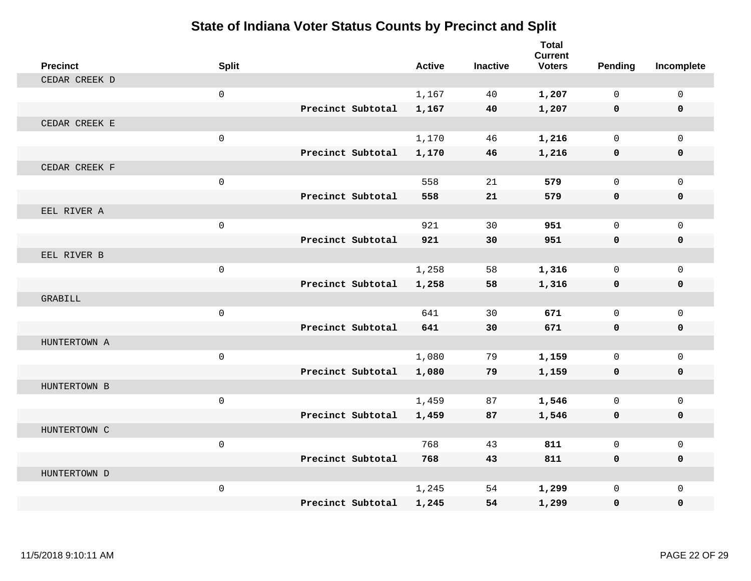| <b>Precinct</b> | <b>Split</b> |                   | <b>Active</b> | <b>Inactive</b> | <b>Total</b><br><b>Current</b><br><b>Voters</b> | Pending     | Incomplete   |
|-----------------|--------------|-------------------|---------------|-----------------|-------------------------------------------------|-------------|--------------|
| CEDAR CREEK D   |              |                   |               |                 |                                                 |             |              |
|                 | $\mathbf 0$  |                   | 1,167         | 40              | 1,207                                           | $\Omega$    | $\mathbf 0$  |
|                 |              | Precinct Subtotal | 1,167         | 40              | 1,207                                           | $\mathbf 0$ | $\mathbf 0$  |
| CEDAR CREEK E   |              |                   |               |                 |                                                 |             |              |
|                 | $\mathsf 0$  |                   | 1,170         | 46              | 1,216                                           | $\mathbf 0$ | $\mathbf{0}$ |
|                 |              | Precinct Subtotal | 1,170         | 46              | 1,216                                           | $\mathbf 0$ | 0            |
| CEDAR CREEK F   |              |                   |               |                 |                                                 |             |              |
|                 | $\mathsf 0$  |                   | 558           | 21              | 579                                             | $\mathbf 0$ | $\mathbf{0}$ |
|                 |              | Precinct Subtotal | 558           | 21              | 579                                             | $\mathbf 0$ | 0            |
| EEL RIVER A     |              |                   |               |                 |                                                 |             |              |
|                 | $\mathsf 0$  |                   | 921           | 30              | 951                                             | $\mathbf 0$ | $\mathbf 0$  |
|                 |              | Precinct Subtotal | 921           | 30              | 951                                             | $\mathbf 0$ | 0            |
| EEL RIVER B     |              |                   |               |                 |                                                 |             |              |
|                 | $\mathbf 0$  |                   | 1,258         | 58              | 1,316                                           | $\Omega$    | $\mathbf 0$  |
|                 |              | Precinct Subtotal | 1,258         | 58              | 1,316                                           | 0           | 0            |
| GRABILL         |              |                   |               |                 |                                                 |             |              |
|                 | $\mathsf{O}$ |                   | 641           | 30              | 671                                             | $\mathbf 0$ | $\mathbf{0}$ |
|                 |              | Precinct Subtotal | 641           | 30              | 671                                             | $\mathbf 0$ | 0            |
| HUNTERTOWN A    |              |                   |               |                 |                                                 |             |              |
|                 | $\mathsf{O}$ |                   | 1,080         | 79              | 1,159                                           | $\mathbf 0$ | $\mathbf{0}$ |
|                 |              | Precinct Subtotal | 1,080         | 79              | 1,159                                           | 0           | 0            |
| HUNTERTOWN B    |              |                   |               |                 |                                                 |             |              |
|                 | $\mathsf 0$  |                   | 1,459         | 87              | 1,546                                           | $\Omega$    | $\mathbf{0}$ |
|                 |              | Precinct Subtotal | 1,459         | 87              | 1,546                                           | 0           | 0            |
| HUNTERTOWN C    |              |                   |               |                 |                                                 |             |              |
|                 | $\mathbf 0$  |                   | 768           | 43              | 811                                             | $\Omega$    | $\mathbf 0$  |
|                 |              | Precinct Subtotal | 768           | 43              | 811                                             | 0           | 0            |
| HUNTERTOWN D    |              |                   |               |                 |                                                 |             |              |
|                 | $\mathsf{O}$ |                   | 1,245         | 54              | 1,299                                           | $\mathbf 0$ | $\mathbf{0}$ |
|                 |              | Precinct Subtotal | 1,245         | 54              | 1,299                                           | 0           | 0            |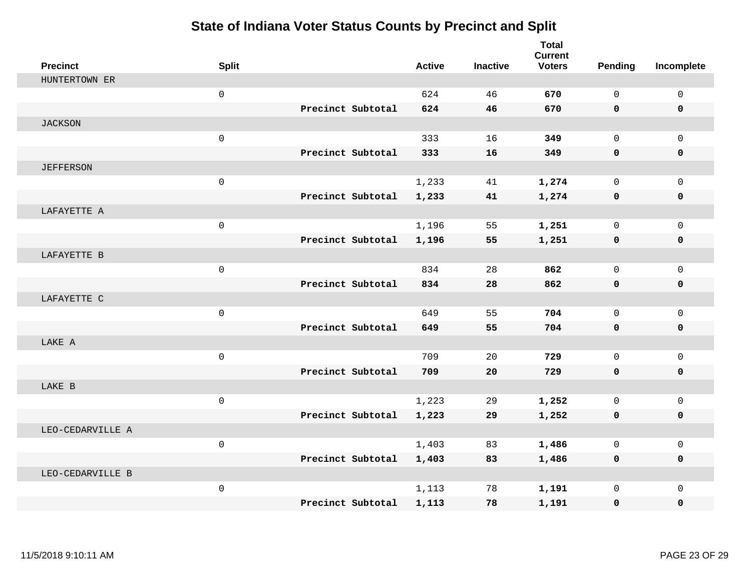| <b>Precinct</b>  | <b>Split</b>        |                   | <b>Active</b> | <b>Inactive</b> | <b>Total</b><br><b>Current</b><br><b>Voters</b> | <b>Pending</b> | Incomplete   |
|------------------|---------------------|-------------------|---------------|-----------------|-------------------------------------------------|----------------|--------------|
| HUNTERTOWN ER    |                     |                   |               |                 |                                                 |                |              |
|                  | $\mathsf{O}\xspace$ |                   | 624           | 46              | 670                                             | $\mathsf{O}$   | $\mathsf 0$  |
|                  |                     | Precinct Subtotal | 624           | 46              | 670                                             | $\mathbf{0}$   | 0            |
| <b>JACKSON</b>   |                     |                   |               |                 |                                                 |                |              |
|                  | $\mathsf{O}\xspace$ |                   | 333           | 16              | 349                                             | $\mathbf 0$    | $\Omega$     |
|                  |                     | Precinct Subtotal | 333           | 16              | 349                                             | $\mathbf 0$    | 0            |
| <b>JEFFERSON</b> |                     |                   |               |                 |                                                 |                |              |
|                  | $\mathsf{O}\xspace$ |                   | 1,233         | 41              | 1,274                                           | $\mathbf 0$    | $\mathbf 0$  |
|                  |                     | Precinct Subtotal | 1,233         | 41              | 1,274                                           | $\mathbf 0$    | 0            |
| LAFAYETTE A      |                     |                   |               |                 |                                                 |                |              |
|                  | $\mathsf{O}\xspace$ |                   | 1,196         | 55              | 1,251                                           | $\mathbf 0$    | $\mathbf{0}$ |
|                  |                     | Precinct Subtotal | 1,196         | 55              | 1,251                                           | $\mathbf 0$    | 0            |
| LAFAYETTE B      |                     |                   |               |                 |                                                 |                |              |
|                  | $\mathbf 0$         |                   | 834           | 28              | 862                                             | $\Omega$       | $\Omega$     |
|                  |                     | Precinct Subtotal | 834           | 28              | 862                                             | $\mathbf 0$    | $\mathbf 0$  |
| LAFAYETTE C      |                     |                   |               |                 |                                                 |                |              |
|                  | $\mathbf 0$         |                   | 649           | 55              | 704                                             | $\mathbf 0$    | $\mathbf{0}$ |
|                  |                     | Precinct Subtotal | 649           | 55              | 704                                             | $\mathbf 0$    | 0            |
| LAKE A           |                     |                   |               |                 |                                                 |                |              |
|                  | $\mathbf 0$         |                   | 709           | 20              | 729                                             | $\Omega$       | $\mathbf 0$  |
|                  |                     | Precinct Subtotal | 709           | 20              | 729                                             | $\mathbf 0$    | 0            |
| LAKE B           |                     |                   |               |                 |                                                 |                |              |
|                  | $\mathsf{O}\xspace$ |                   | 1,223         | 29              | 1,252                                           | $\mathbf 0$    | $\mathbf{0}$ |
|                  |                     | Precinct Subtotal | 1,223         | 29              | 1,252                                           | 0              | 0            |
| LEO-CEDARVILLE A |                     |                   |               |                 |                                                 |                |              |
|                  | $\mathsf{O}\xspace$ |                   | 1,403         | 83              | 1,486                                           | $\mathbf 0$    | $\mathbf{0}$ |
|                  |                     | Precinct Subtotal | 1,403         | 83              | 1,486                                           | $\mathbf 0$    | 0            |
| LEO-CEDARVILLE B |                     |                   |               |                 |                                                 |                |              |
|                  | $\mathsf{O}\xspace$ |                   | 1,113         | 78              | 1,191                                           | $\mathbf{0}$   | $\mathbf 0$  |
|                  |                     | Precinct Subtotal | 1,113         | 78              | 1,191                                           | 0              | 0            |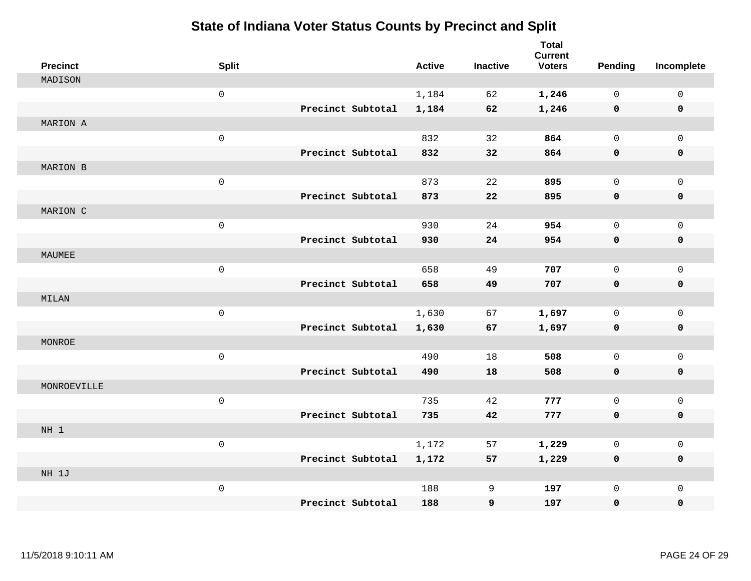| <b>Precinct</b> | <b>Split</b>        |                   | <b>Active</b> | <b>Inactive</b> | <b>Total</b><br><b>Current</b><br><b>Voters</b> | Pending      | Incomplete   |
|-----------------|---------------------|-------------------|---------------|-----------------|-------------------------------------------------|--------------|--------------|
| MADISON         |                     |                   |               |                 |                                                 |              |              |
|                 | $\mathsf{O}\xspace$ |                   | 1,184         | 62              | 1,246                                           | $\mathbf 0$  | $\mathbf 0$  |
|                 |                     | Precinct Subtotal | 1,184         | 62              | 1,246                                           | 0            | $\mathbf 0$  |
| MARION A        |                     |                   |               |                 |                                                 |              |              |
|                 | $\mathsf 0$         |                   | 832           | 32              | 864                                             | $\mathbf 0$  | $\mathbf 0$  |
|                 |                     | Precinct Subtotal | 832           | 32              | 864                                             | 0            | 0            |
| MARION B        |                     |                   |               |                 |                                                 |              |              |
|                 | $\mathbf 0$         |                   | 873           | 22              | 895                                             | $\mathsf{O}$ | $\mathbf 0$  |
|                 |                     | Precinct Subtotal | 873           | 22              | 895                                             | $\mathbf 0$  | 0            |
| MARION C        |                     |                   |               |                 |                                                 |              |              |
|                 | $\mathsf 0$         |                   | 930           | 24              | 954                                             | $\mathsf{O}$ | $\mathbf 0$  |
|                 |                     | Precinct Subtotal | 930           | 24              | 954                                             | $\mathbf 0$  | 0            |
| MAUMEE          |                     |                   |               |                 |                                                 |              |              |
|                 | $\mathsf 0$         |                   | 658           | 49              | 707                                             | $\mathbf{0}$ | $\mathbf 0$  |
|                 |                     | Precinct Subtotal | 658           | 49              | 707                                             | 0            | 0            |
| MILAN           |                     |                   |               |                 |                                                 |              |              |
|                 | $\mathsf 0$         |                   | 1,630         | 67              | 1,697                                           | $\mathbf{0}$ | $\mathbf 0$  |
|                 |                     | Precinct Subtotal | 1,630         | 67              | 1,697                                           | 0            | 0            |
| MONROE          |                     |                   |               |                 |                                                 |              |              |
|                 | $\mathsf{O}\xspace$ |                   | 490           | 18              | 508                                             | $\mathbf 0$  | $\mathbf 0$  |
|                 |                     | Precinct Subtotal | 490           | 18              | 508                                             | 0            | 0            |
| MONROEVILLE     |                     |                   |               |                 |                                                 |              |              |
|                 | $\mathbf 0$         |                   | 735           | 42              | 777                                             | $\mathbf 0$  | $\mathbf{0}$ |
|                 |                     | Precinct Subtotal | 735           | 42              | 777                                             | 0            | 0            |
| NH 1            |                     |                   |               |                 |                                                 |              |              |
|                 | $\mathsf{O}\xspace$ |                   | 1,172         | 57              | 1,229                                           | 0            | $\mathbf 0$  |
|                 |                     | Precinct Subtotal | 1,172         | 57              | 1,229                                           | 0            | 0            |
| NH 1J           |                     |                   |               |                 |                                                 |              |              |
|                 | $\mathsf{O}\xspace$ |                   | 188           | 9               | 197                                             | $\mathbf 0$  | $\mathbf{0}$ |
|                 |                     | Precinct Subtotal | 188           | 9               | 197                                             | 0            | 0            |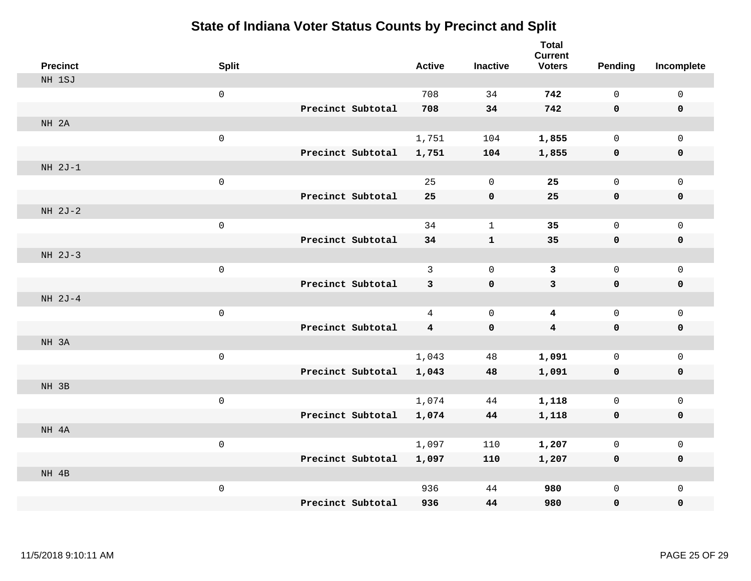|       | <b>Precinct</b> | <b>Split</b>        |                   |                   | <b>Active</b>           | <b>Inactive</b> | <b>Total</b><br><b>Current</b><br><b>Voters</b> | Pending      | Incomplete   |
|-------|-----------------|---------------------|-------------------|-------------------|-------------------------|-----------------|-------------------------------------------------|--------------|--------------|
|       | NH 1SJ          |                     |                   |                   |                         |                 |                                                 |              |              |
|       |                 | $\mathsf{O}\xspace$ |                   |                   | 708                     | 34              | 742                                             | $\mathbf 0$  | $\mathsf 0$  |
|       |                 |                     | Precinct Subtotal |                   | 708                     | 34              | 742                                             | $\mathbf 0$  | $\mathbf 0$  |
| NH 2A |                 |                     |                   |                   |                         |                 |                                                 |              |              |
|       |                 | $\mathsf{O}\xspace$ |                   |                   | 1,751                   | 104             | 1,855                                           | $\mathsf{O}$ | $\mathbf 0$  |
|       |                 |                     |                   | Precinct Subtotal | 1,751                   | 104             | 1,855                                           | 0            | $\mathbf 0$  |
|       | $NH 2J-1$       |                     |                   |                   |                         |                 |                                                 |              |              |
|       |                 | $\mathsf{O}\xspace$ |                   |                   | 25                      | $\mathbf 0$     | 25                                              | $\mathbf{0}$ | $\mathbf 0$  |
|       |                 |                     | Precinct Subtotal |                   | 25                      | $\mathbf 0$     | 25                                              | $\mathbf 0$  | $\mathbf 0$  |
|       | $NH 2J-2$       |                     |                   |                   |                         |                 |                                                 |              |              |
|       |                 | $\mathsf{O}\xspace$ |                   |                   | 34                      | $\mathbf{1}$    | 35                                              | 0            | $\mathbf 0$  |
|       |                 |                     |                   | Precinct Subtotal | 34                      | ${\bf 1}$       | 35                                              | $\mathbf 0$  | $\mathbf 0$  |
|       | $NH 2J-3$       |                     |                   |                   |                         |                 |                                                 |              |              |
|       |                 | $\mathsf{O}\xspace$ |                   |                   | 3                       | $\Omega$        | $\overline{3}$                                  | 0            | $\mathbf 0$  |
|       |                 |                     | Precinct Subtotal |                   | 3                       | 0               | $\mathbf{3}$                                    | $\mathbf 0$  | $\mathbf 0$  |
|       | NH 2J-4         |                     |                   |                   |                         |                 |                                                 |              |              |
|       |                 | $\mathsf{O}\xspace$ |                   |                   | 4                       | $\mathbf 0$     | 4                                               | 0            | $\mathsf{O}$ |
|       |                 |                     | Precinct Subtotal |                   | $\overline{\mathbf{4}}$ | $\pmb{0}$       | $\boldsymbol{4}$                                | $\mathbf 0$  | $\mathbf 0$  |
| NH 3A |                 |                     |                   |                   |                         |                 |                                                 |              |              |
|       |                 | $\mathsf{O}\xspace$ |                   |                   | 1,043                   | 48              | 1,091                                           | 0            | $\mathsf{O}$ |
|       |                 |                     |                   | Precinct Subtotal | 1,043                   | 48              | 1,091                                           | 0            | $\mathbf 0$  |
| NH 3B |                 |                     |                   |                   |                         |                 |                                                 |              |              |
|       |                 | $\mathsf{O}\xspace$ |                   |                   | 1,074                   | 44              | 1,118                                           | 0            | $\mathbf 0$  |
|       |                 |                     |                   | Precinct Subtotal | 1,074                   | 44              | 1,118                                           | $\mathbf 0$  | $\mathbf 0$  |
| NH 4A |                 |                     |                   |                   |                         |                 |                                                 |              |              |
|       |                 | $\mathsf{O}\xspace$ |                   |                   | 1,097                   | 110             | 1,207                                           | 0            | $\mathsf{O}$ |
|       |                 |                     |                   | Precinct Subtotal | 1,097                   | 110             | 1,207                                           | 0            | 0            |
| NH 4B |                 |                     |                   |                   |                         |                 |                                                 |              |              |
|       |                 | $\mathsf{O}\xspace$ |                   |                   | 936                     | 44              | 980                                             | 0            | $\mathsf{O}$ |
|       |                 |                     | Precinct Subtotal |                   | 936                     | 44              | 980                                             | 0            | 0            |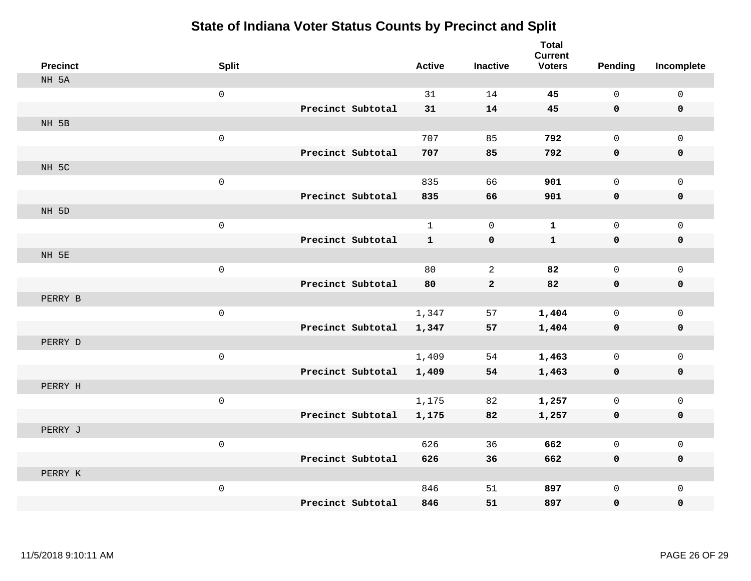| <b>Precinct</b> | <b>Split</b>        |                   | <b>Active</b> | <b>Inactive</b> | <b>Total</b><br><b>Current</b><br><b>Voters</b> | <b>Pending</b> | Incomplete  |
|-----------------|---------------------|-------------------|---------------|-----------------|-------------------------------------------------|----------------|-------------|
| NH 5A           |                     |                   |               |                 |                                                 |                |             |
|                 | $\mathsf 0$         |                   | 31            | 14              | 45                                              | $\mathsf{O}$   | $\mathsf 0$ |
|                 |                     | Precinct Subtotal | 31            | 14              | 45                                              | $\mathbf 0$    | $\mathbf 0$ |
| NH 5B           |                     |                   |               |                 |                                                 |                |             |
|                 | $\mathsf 0$         |                   | 707           | 85              | 792                                             | $\mathbf{0}$   | $\mathbf 0$ |
|                 |                     | Precinct Subtotal | 707           | 85              | 792                                             | $\mathbf 0$    | 0           |
| NH 5C           |                     |                   |               |                 |                                                 |                |             |
|                 | $\mathsf 0$         |                   | 835           | 66              | 901                                             | $\mathsf{O}$   | $\mathsf 0$ |
|                 |                     | Precinct Subtotal | 835           | 66              | 901                                             | $\mathbf 0$    | $\pmb{0}$   |
| NH 5D           |                     |                   |               |                 |                                                 |                |             |
|                 | $\mathsf 0$         |                   | $\mathbf{1}$  | $\mathbf 0$     | $\mathbf{1}$                                    | $\mathbf 0$    | $\mathbf 0$ |
|                 |                     | Precinct Subtotal | $\mathbf{1}$  | $\pmb{0}$       | $\mathbf{1}$                                    | $\mathbf 0$    | $\pmb{0}$   |
| NH 5E           |                     |                   |               |                 |                                                 |                |             |
|                 | $\mathsf 0$         |                   | 80            | 2               | 82                                              | $\mathbf 0$    | $\mathbf 0$ |
|                 |                     | Precinct Subtotal | 80            | $\overline{a}$  | 82                                              | $\mathbf 0$    | $\mathbf 0$ |
| PERRY B         |                     |                   |               |                 |                                                 |                |             |
|                 | $\mathsf 0$         |                   | 1,347         | 57              | 1,404                                           | $\mathbf 0$    | $\mathsf 0$ |
|                 |                     | Precinct Subtotal | 1,347         | 57              | 1,404                                           | 0              | $\pmb{0}$   |
| PERRY D         |                     |                   |               |                 |                                                 |                |             |
|                 | $\mathsf 0$         |                   | 1,409         | 54              | 1,463                                           | $\mathbf 0$    | $\mathbf 0$ |
|                 |                     | Precinct Subtotal | 1,409         | 54              | 1,463                                           | 0              | $\mathbf 0$ |
| PERRY H         |                     |                   |               |                 |                                                 |                |             |
|                 | $\mathsf{O}\xspace$ |                   | 1,175         | 82              | 1,257                                           | $\mathsf{O}$   | $\mathbf 0$ |
|                 |                     | Precinct Subtotal | 1,175         | 82              | 1,257                                           | 0              | 0           |
| PERRY J         |                     |                   |               |                 |                                                 |                |             |
|                 | $\mathsf{O}\xspace$ |                   | 626           | 36              | 662                                             | $\mathbf 0$    | $\mathbf 0$ |
|                 |                     | Precinct Subtotal | 626           | 36              | 662                                             | 0              | $\mathbf 0$ |
| PERRY K         |                     |                   |               |                 |                                                 |                |             |
|                 | $\mathsf{O}\xspace$ |                   | 846           | 51              | 897                                             | $\mathsf{O}$   | $\mathbf 0$ |
|                 |                     | Precinct Subtotal | 846           | 51              | 897                                             | $\mathbf 0$    | 0           |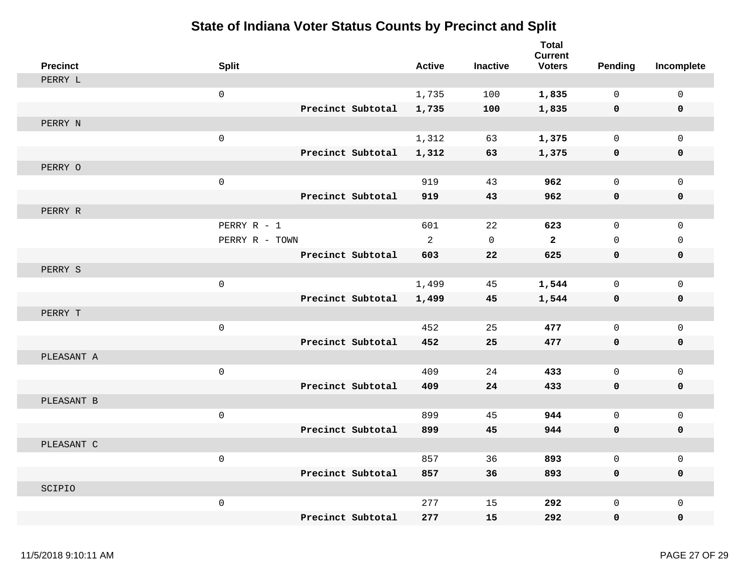| <b>Precinct</b> | <b>Split</b>        |                   | <b>Active</b>  | <b>Inactive</b>     | <b>Total</b><br><b>Current</b><br><b>Voters</b> | Pending      | Incomplete          |
|-----------------|---------------------|-------------------|----------------|---------------------|-------------------------------------------------|--------------|---------------------|
| PERRY L         |                     |                   |                |                     |                                                 |              |                     |
|                 | $\mathsf{O}$        |                   | 1,735          | 100                 | 1,835                                           | $\mathbf 0$  | $\mathsf{O}\xspace$ |
|                 |                     | Precinct Subtotal | 1,735          | 100                 | 1,835                                           | 0            | $\mathbf 0$         |
| PERRY N         |                     |                   |                |                     |                                                 |              |                     |
|                 | $\mathsf{O}$        |                   | 1,312          | 63                  | 1,375                                           | $\mathbf 0$  | 0                   |
|                 |                     | Precinct Subtotal | 1,312          | 63                  | 1,375                                           | 0            | 0                   |
| PERRY O         |                     |                   |                |                     |                                                 |              |                     |
|                 | $\mathsf{O}\xspace$ |                   | 919            | 43                  | 962                                             | $\mathsf{O}$ | $\mathsf{O}\xspace$ |
|                 |                     | Precinct Subtotal | 919            | 43                  | 962                                             | 0            | 0                   |
| PERRY R         |                     |                   |                |                     |                                                 |              |                     |
|                 | PERRY R - 1         |                   | 601            | 22                  | 623                                             | $\mathsf{O}$ | $\mathbf 0$         |
|                 | PERRY R - TOWN      |                   | $\overline{a}$ | $\mathsf{O}\xspace$ | $\overline{2}$                                  | $\mathsf{O}$ | 0                   |
|                 |                     | Precinct Subtotal | 603            | 22                  | 625                                             | 0            | 0                   |
| PERRY S         |                     |                   |                |                     |                                                 |              |                     |
|                 | $\mathsf{O}\xspace$ |                   | 1,499          | 45                  | 1,544                                           | $\mathbf{0}$ | $\mathbf 0$         |
|                 |                     | Precinct Subtotal | 1,499          | 45                  | 1,544                                           | 0            | 0                   |
| PERRY T         |                     |                   |                |                     |                                                 |              |                     |
|                 | $\mathsf{O}\xspace$ |                   | 452            | 25                  | 477                                             | $\mathsf{O}$ | $\mathsf{O}\xspace$ |
|                 |                     | Precinct Subtotal | 452            | 25                  | 477                                             | 0            | 0                   |
| PLEASANT A      |                     |                   |                |                     |                                                 |              |                     |
|                 | $\mathbf 0$         |                   | 409            | 24                  | 433                                             | $\mathbf 0$  | $\mathbf 0$         |
|                 |                     | Precinct Subtotal | 409            | 24                  | 433                                             | 0            | 0                   |
| PLEASANT B      |                     |                   |                |                     |                                                 |              |                     |
|                 | $\mathsf 0$         |                   | 899            | 45                  | 944                                             | $\mathsf{O}$ | $\mathsf{O}$        |
|                 |                     | Precinct Subtotal | 899            | 45                  | 944                                             | 0            | 0                   |
| PLEASANT C      |                     |                   |                |                     |                                                 |              |                     |
|                 | $\mathsf 0$         |                   | 857            | 36                  | 893                                             | $\mathbf{0}$ | $\mathsf{O}$        |
|                 |                     | Precinct Subtotal | 857            | 36                  | 893                                             | 0            | 0                   |
| SCIPIO          |                     |                   |                |                     |                                                 |              |                     |
|                 | $\mathsf 0$         |                   | 277            | 15                  | 292                                             | $\mathsf{O}$ | $\mathsf{O}$        |
|                 |                     | Precinct Subtotal | 277            | 15                  | 292                                             | 0            | $\mathbf 0$         |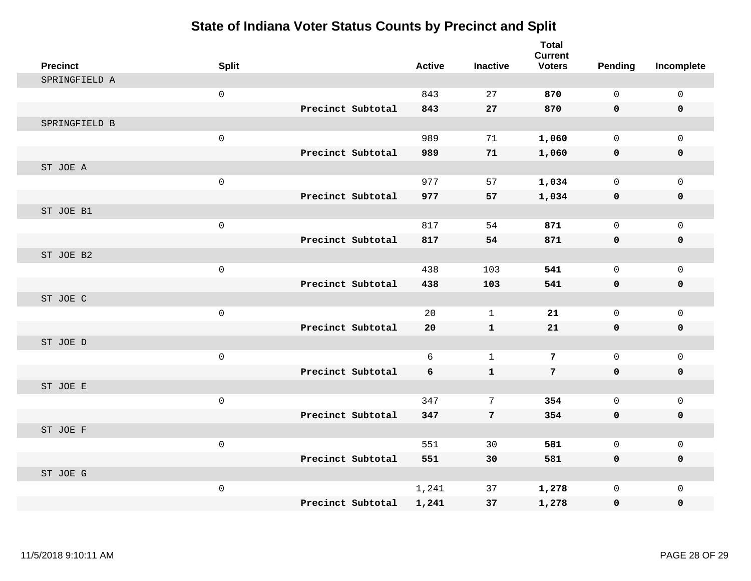| <b>Precinct</b> | <b>Split</b>        |                   | <b>Active</b> | <b>Inactive</b> | <b>Total</b><br><b>Current</b><br><b>Voters</b> | <b>Pending</b> | Incomplete   |
|-----------------|---------------------|-------------------|---------------|-----------------|-------------------------------------------------|----------------|--------------|
| SPRINGFIELD A   |                     |                   |               |                 |                                                 |                |              |
|                 | $\mathsf 0$         |                   | 843           | 27              | 870                                             | 0              | $\mathsf{O}$ |
|                 |                     | Precinct Subtotal | 843           | 27              | 870                                             | 0              | $\mathbf 0$  |
| SPRINGFIELD B   |                     |                   |               |                 |                                                 |                |              |
|                 | $\mathsf{O}\xspace$ |                   | 989           | 71              | 1,060                                           | $\mathbf 0$    | $\mathbf{0}$ |
|                 |                     | Precinct Subtotal | 989           | 71              | 1,060                                           | 0              | 0            |
| ST JOE A        |                     |                   |               |                 |                                                 |                |              |
|                 | $\mathsf{O}$        |                   | 977           | 57              | 1,034                                           | 0              | $\mathsf{O}$ |
|                 |                     | Precinct Subtotal | 977           | 57              | 1,034                                           | 0              | $\pmb{0}$    |
| ST JOE B1       |                     |                   |               |                 |                                                 |                |              |
|                 | $\mathsf 0$         |                   | 817           | 54              | 871                                             | $\mathbf 0$    | $\mathbf{0}$ |
|                 |                     | Precinct Subtotal | 817           | 54              | 871                                             | 0              | 0            |
| ST JOE B2       |                     |                   |               |                 |                                                 |                |              |
|                 | $\mathsf{O}$        |                   | 438           | 103             | 541                                             | $\mathbf 0$    | $\mathbf 0$  |
|                 |                     | Precinct Subtotal | 438           | 103             | 541                                             | 0              | 0            |
| ST JOE C        |                     |                   |               |                 |                                                 |                |              |
|                 | $\mathsf{O}$        |                   | 20            | $\mathbf{1}$    | 21                                              | 0              | $\mathbf{0}$ |
|                 |                     | Precinct Subtotal | 20            | $\mathbf{1}$    | 21                                              | 0              | $\pmb{0}$    |
| ST JOE D        |                     |                   |               |                 |                                                 |                |              |
|                 | $\mathsf{O}$        |                   | 6             | $\mathbf{1}$    | $7\phantom{.0}$                                 | $\mathbf 0$    | $\mathsf{O}$ |
|                 |                     | Precinct Subtotal | 6             | $\mathbf{1}$    | $7\phantom{.}$                                  | $\mathbf{0}$   | 0            |
| ST JOE E        |                     |                   |               |                 |                                                 |                |              |
|                 | $\mathsf{O}$        |                   | 347           | 7               | 354                                             | $\mathbf 0$    | $\mathbf{0}$ |
|                 |                     | Precinct Subtotal | 347           | $\overline{7}$  | 354                                             | 0              | 0            |
| ST JOE F        |                     |                   |               |                 |                                                 |                |              |
|                 | $\mathbf 0$         |                   | 551           | 30              | 581                                             | 0              | $\mathbf 0$  |
|                 |                     | Precinct Subtotal | 551           | 30              | 581                                             | 0              | 0            |
| ST JOE G        |                     |                   |               |                 |                                                 |                |              |
|                 | $\mathsf{O}$        |                   | 1,241         | 37              | 1,278                                           | $\mathbf 0$    | $\mathsf{O}$ |
|                 |                     | Precinct Subtotal | 1,241         | 37              | 1,278                                           | 0              | 0            |